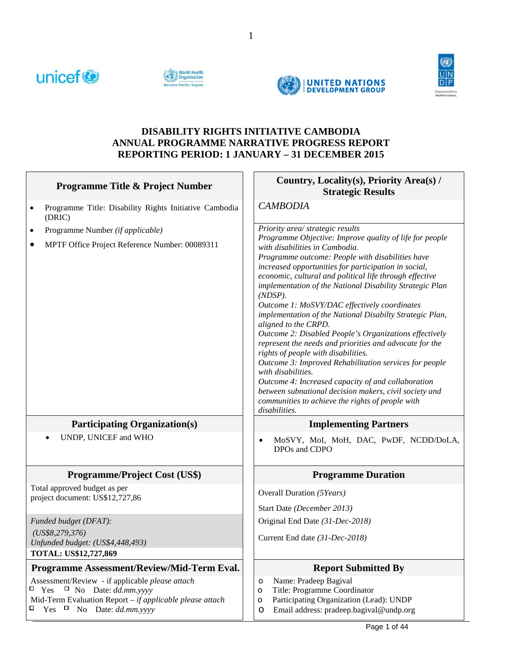







## **DISABILITY RIGHTS INITIATIVE CAMBODIA ANNUAL PROGRAMME NARRATIVE PROGRESS REPORT REPORTING PERIOD: 1 JANUARY – 31 DECEMBER 2015**

| <b>Programme Title &amp; Project Number</b>                                                                                                                                                                  | Country, Locality(s), Priority Area(s) /<br><b>Strategic Results</b>                                                                                                                                                                                                                                                                                                                                                                                                                                                                                                                                                                                                                                                                                                                                                                                                                                                                                |
|--------------------------------------------------------------------------------------------------------------------------------------------------------------------------------------------------------------|-----------------------------------------------------------------------------------------------------------------------------------------------------------------------------------------------------------------------------------------------------------------------------------------------------------------------------------------------------------------------------------------------------------------------------------------------------------------------------------------------------------------------------------------------------------------------------------------------------------------------------------------------------------------------------------------------------------------------------------------------------------------------------------------------------------------------------------------------------------------------------------------------------------------------------------------------------|
| Programme Title: Disability Rights Initiative Cambodia<br>$\bullet$<br>(DRIC)                                                                                                                                | <b>CAMBODIA</b>                                                                                                                                                                                                                                                                                                                                                                                                                                                                                                                                                                                                                                                                                                                                                                                                                                                                                                                                     |
| Programme Number (if applicable)<br>$\bullet$<br>MPTF Office Project Reference Number: 00089311                                                                                                              | Priority area/ strategic results<br>Programme Objective: Improve quality of life for people<br>with disabilities in Cambodia.<br>Programme outcome: People with disabilities have<br>increased opportunities for participation in social,<br>economic, cultural and political life through effective<br>implementation of the National Disability Strategic Plan<br>$(NDSP)$ .<br>Outcome 1: MoSVY/DAC effectively coordinates<br>implementation of the National Disabilty Strategic Plan,<br>aligned to the CRPD.<br>Outcome 2: Disabled People's Organizations effectively<br>represent the needs and priorities and advocate for the<br>rights of people with disabilities.<br>Outcome 3: Improved Rehabilitation services for people<br>with disabilities.<br>Outcome 4: Increased capacity of and collaboration<br>between subnational decision makers, civil society and<br>communities to achieve the rights of people with<br>disabilities. |
| <b>Participating Organization(s)</b>                                                                                                                                                                         | <b>Implementing Partners</b>                                                                                                                                                                                                                                                                                                                                                                                                                                                                                                                                                                                                                                                                                                                                                                                                                                                                                                                        |
| UNDP, UNICEF and WHO                                                                                                                                                                                         | MoSVY, MoI, MoH, DAC, PwDF, NCDD/DoLA,<br>$\bullet$<br>DPOs and CDPO                                                                                                                                                                                                                                                                                                                                                                                                                                                                                                                                                                                                                                                                                                                                                                                                                                                                                |
| <b>Programme/Project Cost (US\$)</b>                                                                                                                                                                         | <b>Programme Duration</b>                                                                                                                                                                                                                                                                                                                                                                                                                                                                                                                                                                                                                                                                                                                                                                                                                                                                                                                           |
| Total approved budget as per<br>project document: US\$12,727,86                                                                                                                                              | Overall Duration (5Years)<br>Start Date (December 2013)                                                                                                                                                                                                                                                                                                                                                                                                                                                                                                                                                                                                                                                                                                                                                                                                                                                                                             |
| Funded budget (DFAT):<br>(US\$8,279,376)<br>Unfunded budget: (US\$4,448,493)<br>TOTAL: US\$12,727,869                                                                                                        | Original End Date (31-Dec-2018)<br>Current End date (31-Dec-2018)                                                                                                                                                                                                                                                                                                                                                                                                                                                                                                                                                                                                                                                                                                                                                                                                                                                                                   |
| Programme Assessment/Review/Mid-Term Eval.                                                                                                                                                                   | <b>Report Submitted By</b>                                                                                                                                                                                                                                                                                                                                                                                                                                                                                                                                                                                                                                                                                                                                                                                                                                                                                                                          |
| Assessment/Review - if applicable please attach<br>$\Box$ Yes<br>$\Box$ No Date: <i>dd.mm.yyyy</i><br>Mid-Term Evaluation Report $-$ if applicable please attach<br>$\Box$ Yes<br>$\Box$ No Date: dd.mm.yyyy | Name: Pradeep Bagival<br>$\circ$<br>Title: Programme Coordinator<br>$\circ$<br>Participating Organization (Lead): UNDP<br>O<br>Email address: pradeep.bagival@undp.org<br>$\circ$                                                                                                                                                                                                                                                                                                                                                                                                                                                                                                                                                                                                                                                                                                                                                                   |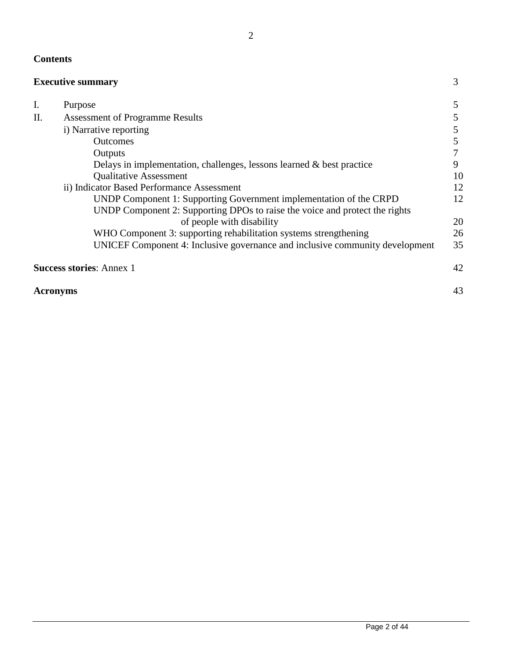# **Contents**

|                 | <b>Executive summary</b>                                                     | 3  |
|-----------------|------------------------------------------------------------------------------|----|
| I.              | Purpose                                                                      | 5  |
| II.             | <b>Assessment of Programme Results</b>                                       | 5  |
|                 | i) Narrative reporting                                                       | 5  |
|                 | <b>Outcomes</b>                                                              |    |
|                 | Outputs                                                                      |    |
|                 | Delays in implementation, challenges, lessons learned $\&$ best practice     | 9  |
|                 | <b>Qualitative Assessment</b>                                                | 10 |
|                 | ii) Indicator Based Performance Assessment                                   | 12 |
|                 | UNDP Component 1: Supporting Government implementation of the CRPD           | 12 |
|                 | UNDP Component 2: Supporting DPOs to raise the voice and protect the rights  |    |
|                 | of people with disability                                                    | 20 |
|                 | WHO Component 3: supporting rehabilitation systems strengthening             | 26 |
|                 | UNICEF Component 4: Inclusive governance and inclusive community development | 35 |
|                 | <b>Success stories: Annex 1</b>                                              | 42 |
| <b>Acronyms</b> |                                                                              | 43 |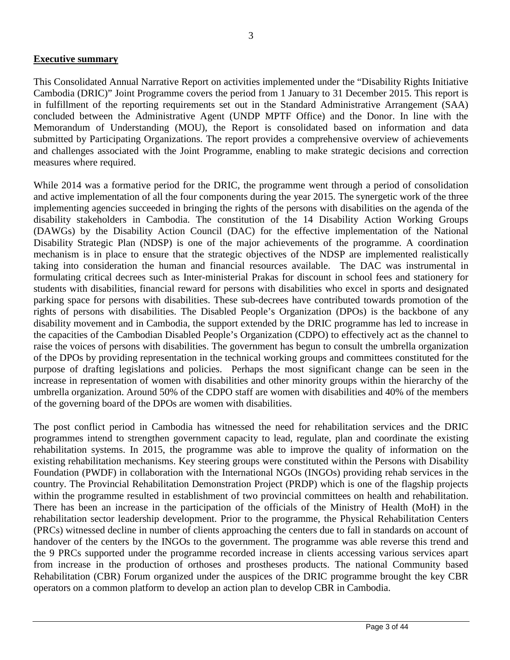## **Executive summary**

This Consolidated Annual Narrative Report on activities implemented under the "Disability Rights Initiative Cambodia (DRIC)" Joint Programme covers the period from 1 January to 31 December 2015. This report is in fulfillment of the reporting requirements set out in the Standard Administrative Arrangement (SAA) concluded between the Administrative Agent (UNDP MPTF Office) and the Donor. In line with the Memorandum of Understanding (MOU), the Report is consolidated based on information and data submitted by Participating Organizations. The report provides a comprehensive overview of achievements and challenges associated with the Joint Programme, enabling to make strategic decisions and correction measures where required.

While 2014 was a formative period for the DRIC, the programme went through a period of consolidation and active implementation of all the four components during the year 2015. The synergetic work of the three implementing agencies succeeded in bringing the rights of the persons with disabilities on the agenda of the disability stakeholders in Cambodia. The constitution of the 14 Disability Action Working Groups (DAWGs) by the Disability Action Council (DAC) for the effective implementation of the National Disability Strategic Plan (NDSP) is one of the major achievements of the programme. A coordination mechanism is in place to ensure that the strategic objectives of the NDSP are implemented realistically taking into consideration the human and financial resources available. The DAC was instrumental in formulating critical decrees such as Inter-ministerial Prakas for discount in school fees and stationery for students with disabilities, financial reward for persons with disabilities who excel in sports and designated parking space for persons with disabilities. These sub-decrees have contributed towards promotion of the rights of persons with disabilities. The Disabled People's Organization (DPOs) is the backbone of any disability movement and in Cambodia, the support extended by the DRIC programme has led to increase in the capacities of the Cambodian Disabled People's Organization (CDPO) to effectively act as the channel to raise the voices of persons with disabilities. The government has begun to consult the umbrella organization of the DPOs by providing representation in the technical working groups and committees constituted for the purpose of drafting legislations and policies. Perhaps the most significant change can be seen in the increase in representation of women with disabilities and other minority groups within the hierarchy of the umbrella organization. Around 50% of the CDPO staff are women with disabilities and 40% of the members of the governing board of the DPOs are women with disabilities.

The post conflict period in Cambodia has witnessed the need for rehabilitation services and the DRIC programmes intend to strengthen government capacity to lead, regulate, plan and coordinate the existing rehabilitation systems. In 2015, the programme was able to improve the quality of information on the existing rehabilitation mechanisms. Key steering groups were constituted within the Persons with Disability Foundation (PWDF) in collaboration with the International NGOs (INGOs) providing rehab services in the country. The Provincial Rehabilitation Demonstration Project (PRDP) which is one of the flagship projects within the programme resulted in establishment of two provincial committees on health and rehabilitation. There has been an increase in the participation of the officials of the Ministry of Health (MoH) in the rehabilitation sector leadership development. Prior to the programme, the Physical Rehabilitation Centers (PRCs) witnessed decline in number of clients approaching the centers due to fall in standards on account of handover of the centers by the INGOs to the government. The programme was able reverse this trend and the 9 PRCs supported under the programme recorded increase in clients accessing various services apart from increase in the production of orthoses and prostheses products. The national Community based Rehabilitation (CBR) Forum organized under the auspices of the DRIC programme brought the key CBR operators on a common platform to develop an action plan to develop CBR in Cambodia.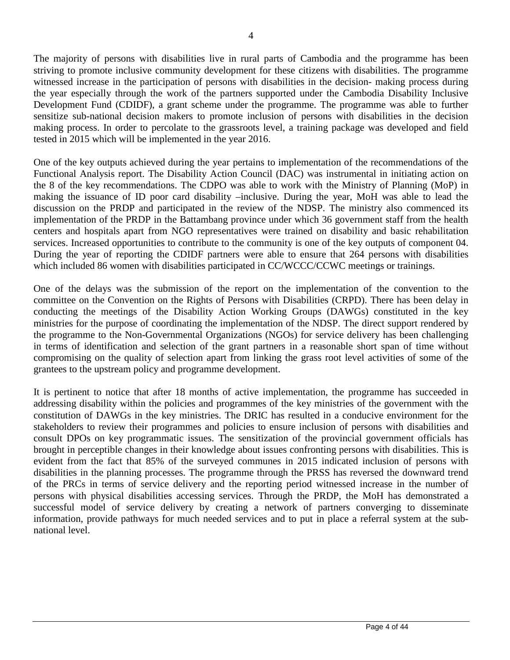The majority of persons with disabilities live in rural parts of Cambodia and the programme has been striving to promote inclusive community development for these citizens with disabilities. The programme witnessed increase in the participation of persons with disabilities in the decision- making process during the year especially through the work of the partners supported under the Cambodia Disability Inclusive Development Fund (CDIDF), a grant scheme under the programme. The programme was able to further sensitize sub-national decision makers to promote inclusion of persons with disabilities in the decision making process. In order to percolate to the grassroots level, a training package was developed and field tested in 2015 which will be implemented in the year 2016.

One of the key outputs achieved during the year pertains to implementation of the recommendations of the Functional Analysis report. The Disability Action Council (DAC) was instrumental in initiating action on the 8 of the key recommendations. The CDPO was able to work with the Ministry of Planning (MoP) in making the issuance of ID poor card disability –inclusive. During the year, MoH was able to lead the discussion on the PRDP and participated in the review of the NDSP. The ministry also commenced its implementation of the PRDP in the Battambang province under which 36 government staff from the health centers and hospitals apart from NGO representatives were trained on disability and basic rehabilitation services. Increased opportunities to contribute to the community is one of the key outputs of component 04. During the year of reporting the CDIDF partners were able to ensure that 264 persons with disabilities which included 86 women with disabilities participated in CC/WCCC/CCWC meetings or trainings.

One of the delays was the submission of the report on the implementation of the convention to the committee on the Convention on the Rights of Persons with Disabilities (CRPD). There has been delay in conducting the meetings of the Disability Action Working Groups (DAWGs) constituted in the key ministries for the purpose of coordinating the implementation of the NDSP. The direct support rendered by the programme to the Non-Governmental Organizations (NGOs) for service delivery has been challenging in terms of identification and selection of the grant partners in a reasonable short span of time without compromising on the quality of selection apart from linking the grass root level activities of some of the grantees to the upstream policy and programme development.

It is pertinent to notice that after 18 months of active implementation, the programme has succeeded in addressing disability within the policies and programmes of the key ministries of the government with the constitution of DAWGs in the key ministries. The DRIC has resulted in a conducive environment for the stakeholders to review their programmes and policies to ensure inclusion of persons with disabilities and consult DPOs on key programmatic issues. The sensitization of the provincial government officials has brought in perceptible changes in their knowledge about issues confronting persons with disabilities. This is evident from the fact that 85% of the surveyed communes in 2015 indicated inclusion of persons with disabilities in the planning processes. The programme through the PRSS has reversed the downward trend of the PRCs in terms of service delivery and the reporting period witnessed increase in the number of persons with physical disabilities accessing services. Through the PRDP, the MoH has demonstrated a successful model of service delivery by creating a network of partners converging to disseminate information, provide pathways for much needed services and to put in place a referral system at the subnational level.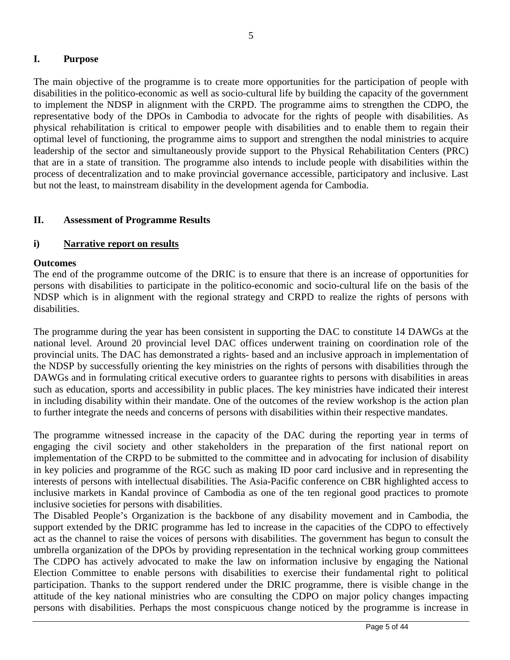# **I. Purpose**

The main objective of the programme is to create more opportunities for the participation of people with disabilities in the politico-economic as well as socio-cultural life by building the capacity of the government to implement the NDSP in alignment with the CRPD. The programme aims to strengthen the CDPO, the representative body of the DPOs in Cambodia to advocate for the rights of people with disabilities. As physical rehabilitation is critical to empower people with disabilities and to enable them to regain their optimal level of functioning, the programme aims to support and strengthen the nodal ministries to acquire leadership of the sector and simultaneously provide support to the Physical Rehabilitation Centers (PRC) that are in a state of transition. The programme also intends to include people with disabilities within the process of decentralization and to make provincial governance accessible, participatory and inclusive. Last but not the least, to mainstream disability in the development agenda for Cambodia.

## **II. Assessment of Programme Results**

## **i) Narrative report on results**

#### **Outcomes**

The end of the programme outcome of the DRIC is to ensure that there is an increase of opportunities for persons with disabilities to participate in the politico-economic and socio-cultural life on the basis of the NDSP which is in alignment with the regional strategy and CRPD to realize the rights of persons with disabilities.

The programme during the year has been consistent in supporting the DAC to constitute 14 DAWGs at the national level. Around 20 provincial level DAC offices underwent training on coordination role of the provincial units. The DAC has demonstrated a rights- based and an inclusive approach in implementation of the NDSP by successfully orienting the key ministries on the rights of persons with disabilities through the DAWGs and in formulating critical executive orders to guarantee rights to persons with disabilities in areas such as education, sports and accessibility in public places. The key ministries have indicated their interest in including disability within their mandate. One of the outcomes of the review workshop is the action plan to further integrate the needs and concerns of persons with disabilities within their respective mandates.

The programme witnessed increase in the capacity of the DAC during the reporting year in terms of engaging the civil society and other stakeholders in the preparation of the first national report on implementation of the CRPD to be submitted to the committee and in advocating for inclusion of disability in key policies and programme of the RGC such as making ID poor card inclusive and in representing the interests of persons with intellectual disabilities. The Asia-Pacific conference on CBR highlighted access to inclusive markets in Kandal province of Cambodia as one of the ten regional good practices to promote inclusive societies for persons with disabilities.

The Disabled People's Organization is the backbone of any disability movement and in Cambodia, the support extended by the DRIC programme has led to increase in the capacities of the CDPO to effectively act as the channel to raise the voices of persons with disabilities. The government has begun to consult the umbrella organization of the DPOs by providing representation in the technical working group committees The CDPO has actively advocated to make the law on information inclusive by engaging the National Election Committee to enable persons with disabilities to exercise their fundamental right to political participation. Thanks to the support rendered under the DRIC programme, there is visible change in the attitude of the key national ministries who are consulting the CDPO on major policy changes impacting persons with disabilities. Perhaps the most conspicuous change noticed by the programme is increase in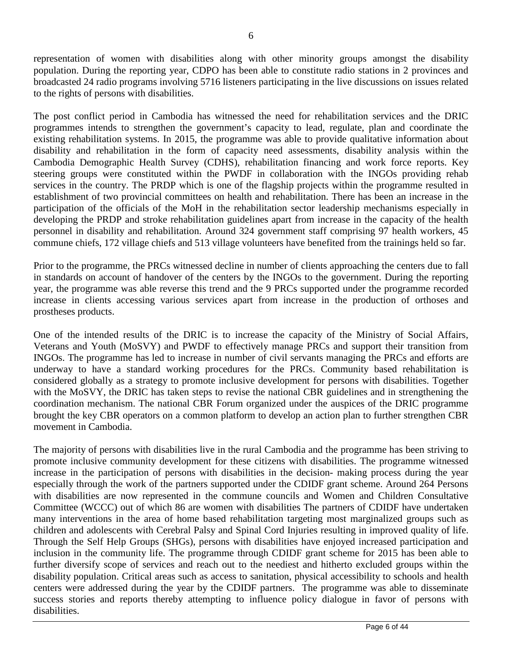representation of women with disabilities along with other minority groups amongst the disability population. During the reporting year, CDPO has been able to constitute radio stations in 2 provinces and broadcasted 24 radio programs involving 5716 listeners participating in the live discussions on issues related to the rights of persons with disabilities.

The post conflict period in Cambodia has witnessed the need for rehabilitation services and the DRIC programmes intends to strengthen the government's capacity to lead, regulate, plan and coordinate the existing rehabilitation systems. In 2015, the programme was able to provide qualitative information about disability and rehabilitation in the form of capacity need assessments, disability analysis within the Cambodia Demographic Health Survey (CDHS), rehabilitation financing and work force reports. Key steering groups were constituted within the PWDF in collaboration with the INGOs providing rehab services in the country. The PRDP which is one of the flagship projects within the programme resulted in establishment of two provincial committees on health and rehabilitation. There has been an increase in the participation of the officials of the MoH in the rehabilitation sector leadership mechanisms especially in developing the PRDP and stroke rehabilitation guidelines apart from increase in the capacity of the health personnel in disability and rehabilitation. Around 324 government staff comprising 97 health workers, 45 commune chiefs, 172 village chiefs and 513 village volunteers have benefited from the trainings held so far.

Prior to the programme, the PRCs witnessed decline in number of clients approaching the centers due to fall in standards on account of handover of the centers by the INGOs to the government. During the reporting year, the programme was able reverse this trend and the 9 PRCs supported under the programme recorded increase in clients accessing various services apart from increase in the production of orthoses and prostheses products.

One of the intended results of the DRIC is to increase the capacity of the Ministry of Social Affairs, Veterans and Youth (MoSVY) and PWDF to effectively manage PRCs and support their transition from INGOs. The programme has led to increase in number of civil servants managing the PRCs and efforts are underway to have a standard working procedures for the PRCs. Community based rehabilitation is considered globally as a strategy to promote inclusive development for persons with disabilities. Together with the MoSVY, the DRIC has taken steps to revise the national CBR guidelines and in strengthening the coordination mechanism. The national CBR Forum organized under the auspices of the DRIC programme brought the key CBR operators on a common platform to develop an action plan to further strengthen CBR movement in Cambodia.

The majority of persons with disabilities live in the rural Cambodia and the programme has been striving to promote inclusive community development for these citizens with disabilities. The programme witnessed increase in the participation of persons with disabilities in the decision- making process during the year especially through the work of the partners supported under the CDIDF grant scheme. Around 264 Persons with disabilities are now represented in the commune councils and Women and Children Consultative Committee (WCCC) out of which 86 are women with disabilities The partners of CDIDF have undertaken many interventions in the area of home based rehabilitation targeting most marginalized groups such as children and adolescents with Cerebral Palsy and Spinal Cord Injuries resulting in improved quality of life. Through the Self Help Groups (SHGs), persons with disabilities have enjoyed increased participation and inclusion in the community life. The programme through CDIDF grant scheme for 2015 has been able to further diversify scope of services and reach out to the neediest and hitherto excluded groups within the disability population. Critical areas such as access to sanitation, physical accessibility to schools and health centers were addressed during the year by the CDIDF partners. The programme was able to disseminate success stories and reports thereby attempting to influence policy dialogue in favor of persons with disabilities.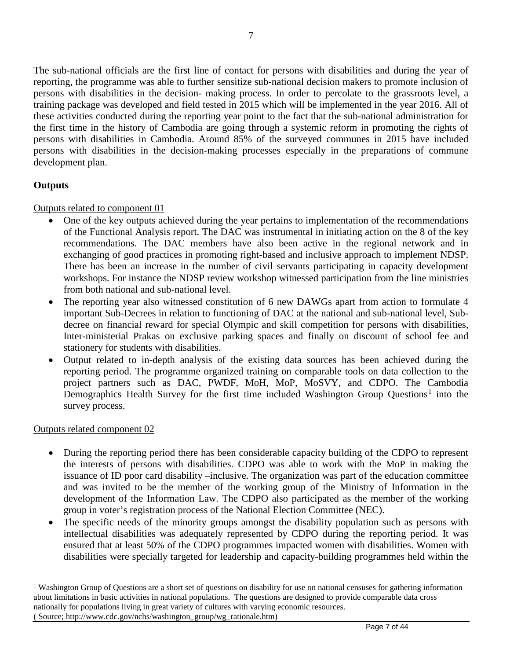The sub-national officials are the first line of contact for persons with disabilities and during the year of reporting, the programme was able to further sensitize sub-national decision makers to promote inclusion of persons with disabilities in the decision- making process. In order to percolate to the grassroots level, a training package was developed and field tested in 2015 which will be implemented in the year 2016. All of these activities conducted during the reporting year point to the fact that the sub-national administration for the first time in the history of Cambodia are going through a systemic reform in promoting the rights of persons with disabilities in Cambodia. Around 85% of the surveyed communes in 2015 have included persons with disabilities in the decision-making processes especially in the preparations of commune development plan.

# **Outputs**

## Outputs related to component 01

- One of the key outputs achieved during the year pertains to implementation of the recommendations of the Functional Analysis report. The DAC was instrumental in initiating action on the 8 of the key recommendations. The DAC members have also been active in the regional network and in exchanging of good practices in promoting right-based and inclusive approach to implement NDSP. There has been an increase in the number of civil servants participating in capacity development workshops. For instance the NDSP review workshop witnessed participation from the line ministries from both national and sub-national level.
- The reporting year also witnessed constitution of 6 new DAWGs apart from action to formulate 4 important Sub-Decrees in relation to functioning of DAC at the national and sub-national level, Subdecree on financial reward for special Olympic and skill competition for persons with disabilities, Inter-ministerial Prakas on exclusive parking spaces and finally on discount of school fee and stationery for students with disabilities.
- Output related to in-depth analysis of the existing data sources has been achieved during the reporting period. The programme organized training on comparable tools on data collection to the project partners such as DAC, PWDF, MoH, MoP, MoSVY, and CDPO. The Cambodia Demographics Health Survey for the first time included Washington Group Questions<sup>[1](#page-6-0)</sup> into the survey process.

#### Outputs related component 02

- During the reporting period there has been considerable capacity building of the CDPO to represent the interests of persons with disabilities. CDPO was able to work with the MoP in making the issuance of ID poor card disability –inclusive. The organization was part of the education committee and was invited to be the member of the working group of the Ministry of Information in the development of the Information Law. The CDPO also participated as the member of the working group in voter's registration process of the National Election Committee (NEC).
- The specific needs of the minority groups amongst the disability population such as persons with intellectual disabilities was adequately represented by CDPO during the reporting period. It was ensured that at least 50% of the CDPO programmes impacted women with disabilities. Women with disabilities were specially targeted for leadership and capacity-building programmes held within the

<span id="page-6-0"></span><sup>&</sup>lt;sup>1</sup> Washington Group of Questions are a short set of questions on disability for use on national censuses for gathering information about limitations in basic activities in national populations. The questions are designed to provide comparable data cross nationally for populations living in great variety of cultures with varying economic resources. ( Source; http://www.cdc.gov/nchs/washington\_group/wg\_rationale.htm)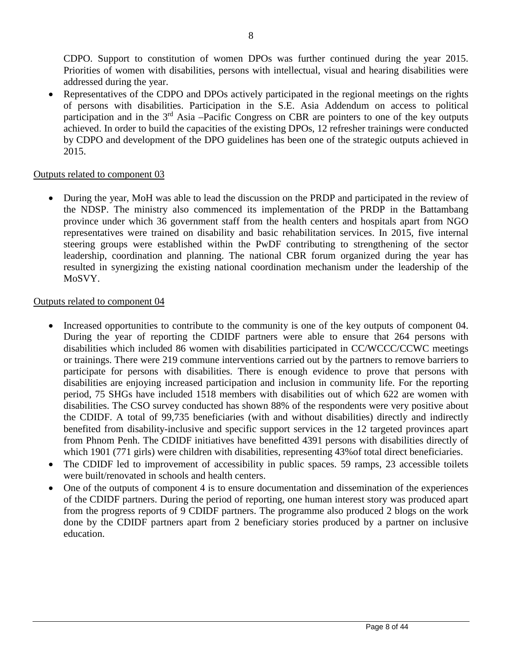CDPO. Support to constitution of women DPOs was further continued during the year 2015. Priorities of women with disabilities, persons with intellectual, visual and hearing disabilities were addressed during the year.

Representatives of the CDPO and DPOs actively participated in the regional meetings on the rights of persons with disabilities. Participation in the S.E. Asia Addendum on access to political participation and in the 3<sup>rd</sup> Asia –Pacific Congress on CBR are pointers to one of the key outputs achieved. In order to build the capacities of the existing DPOs, 12 refresher trainings were conducted by CDPO and development of the DPO guidelines has been one of the strategic outputs achieved in 2015.

## Outputs related to component 03

• During the year, MoH was able to lead the discussion on the PRDP and participated in the review of the NDSP. The ministry also commenced its implementation of the PRDP in the Battambang province under which 36 government staff from the health centers and hospitals apart from NGO representatives were trained on disability and basic rehabilitation services. In 2015, five internal steering groups were established within the PwDF contributing to strengthening of the sector leadership, coordination and planning. The national CBR forum organized during the year has resulted in synergizing the existing national coordination mechanism under the leadership of the MoSVY.

#### Outputs related to component 04

- Increased opportunities to contribute to the community is one of the key outputs of component 04. During the year of reporting the CDIDF partners were able to ensure that 264 persons with disabilities which included 86 women with disabilities participated in CC/WCCC/CCWC meetings or trainings. There were 219 commune interventions carried out by the partners to remove barriers to participate for persons with disabilities. There is enough evidence to prove that persons with disabilities are enjoying increased participation and inclusion in community life. For the reporting period, 75 SHGs have included 1518 members with disabilities out of which 622 are women with disabilities. The CSO survey conducted has shown 88% of the respondents were very positive about the CDIDF. A total of 99,735 beneficiaries (with and without disabilities) directly and indirectly benefited from disability-inclusive and specific support services in the 12 targeted provinces apart from Phnom Penh. The CDIDF initiatives have benefitted 4391 persons with disabilities directly of which 1901 (771 girls) were children with disabilities, representing 43% of total direct beneficiaries.
- The CDIDF led to improvement of accessibility in public spaces. 59 ramps, 23 accessible toilets were built/renovated in schools and health centers.
- One of the outputs of component 4 is to ensure documentation and dissemination of the experiences of the CDIDF partners. During the period of reporting, one human interest story was produced apart from the progress reports of 9 CDIDF partners. The programme also produced 2 blogs on the work done by the CDIDF partners apart from 2 beneficiary stories produced by a partner on inclusive education.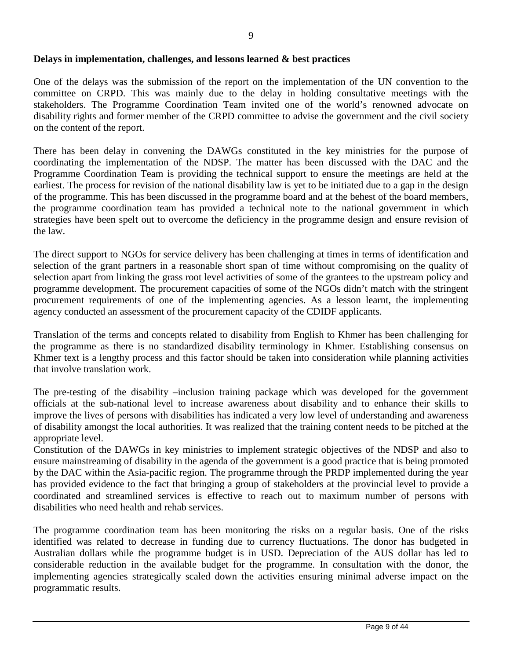## **Delays in implementation, challenges, and lessons learned & best practices**

One of the delays was the submission of the report on the implementation of the UN convention to the committee on CRPD. This was mainly due to the delay in holding consultative meetings with the stakeholders. The Programme Coordination Team invited one of the world's renowned advocate on disability rights and former member of the CRPD committee to advise the government and the civil society on the content of the report.

There has been delay in convening the DAWGs constituted in the key ministries for the purpose of coordinating the implementation of the NDSP. The matter has been discussed with the DAC and the Programme Coordination Team is providing the technical support to ensure the meetings are held at the earliest. The process for revision of the national disability law is yet to be initiated due to a gap in the design of the programme. This has been discussed in the programme board and at the behest of the board members, the programme coordination team has provided a technical note to the national government in which strategies have been spelt out to overcome the deficiency in the programme design and ensure revision of the law.

The direct support to NGOs for service delivery has been challenging at times in terms of identification and selection of the grant partners in a reasonable short span of time without compromising on the quality of selection apart from linking the grass root level activities of some of the grantees to the upstream policy and programme development. The procurement capacities of some of the NGOs didn't match with the stringent procurement requirements of one of the implementing agencies. As a lesson learnt, the implementing agency conducted an assessment of the procurement capacity of the CDIDF applicants.

Translation of the terms and concepts related to disability from English to Khmer has been challenging for the programme as there is no standardized disability terminology in Khmer. Establishing consensus on Khmer text is a lengthy process and this factor should be taken into consideration while planning activities that involve translation work.

The pre-testing of the disability –inclusion training package which was developed for the government officials at the sub-national level to increase awareness about disability and to enhance their skills to improve the lives of persons with disabilities has indicated a very low level of understanding and awareness of disability amongst the local authorities. It was realized that the training content needs to be pitched at the appropriate level.

Constitution of the DAWGs in key ministries to implement strategic objectives of the NDSP and also to ensure mainstreaming of disability in the agenda of the government is a good practice that is being promoted by the DAC within the Asia-pacific region. The programme through the PRDP implemented during the year has provided evidence to the fact that bringing a group of stakeholders at the provincial level to provide a coordinated and streamlined services is effective to reach out to maximum number of persons with disabilities who need health and rehab services.

The programme coordination team has been monitoring the risks on a regular basis. One of the risks identified was related to decrease in funding due to currency fluctuations. The donor has budgeted in Australian dollars while the programme budget is in USD. Depreciation of the AUS dollar has led to considerable reduction in the available budget for the programme. In consultation with the donor, the implementing agencies strategically scaled down the activities ensuring minimal adverse impact on the programmatic results.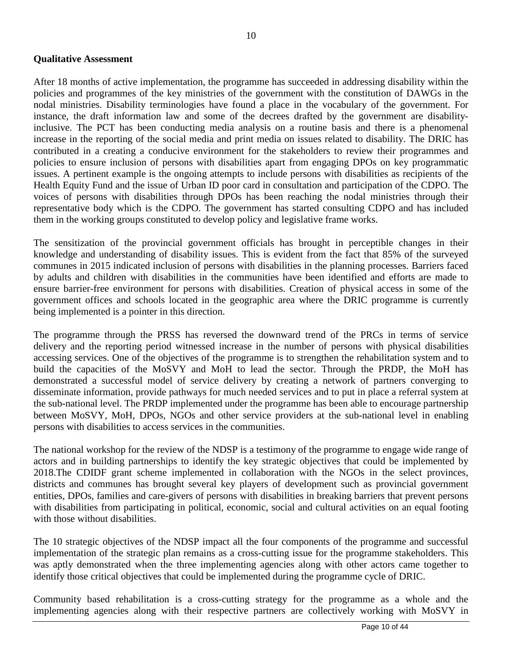#### **Qualitative Assessment**

After 18 months of active implementation, the programme has succeeded in addressing disability within the policies and programmes of the key ministries of the government with the constitution of DAWGs in the nodal ministries. Disability terminologies have found a place in the vocabulary of the government. For instance, the draft information law and some of the decrees drafted by the government are disabilityinclusive. The PCT has been conducting media analysis on a routine basis and there is a phenomenal increase in the reporting of the social media and print media on issues related to disability. The DRIC has contributed in a creating a conducive environment for the stakeholders to review their programmes and policies to ensure inclusion of persons with disabilities apart from engaging DPOs on key programmatic issues. A pertinent example is the ongoing attempts to include persons with disabilities as recipients of the Health Equity Fund and the issue of Urban ID poor card in consultation and participation of the CDPO. The voices of persons with disabilities through DPOs has been reaching the nodal ministries through their representative body which is the CDPO. The government has started consulting CDPO and has included them in the working groups constituted to develop policy and legislative frame works.

The sensitization of the provincial government officials has brought in perceptible changes in their knowledge and understanding of disability issues. This is evident from the fact that 85% of the surveyed communes in 2015 indicated inclusion of persons with disabilities in the planning processes. Barriers faced by adults and children with disabilities in the communities have been identified and efforts are made to ensure barrier-free environment for persons with disabilities. Creation of physical access in some of the government offices and schools located in the geographic area where the DRIC programme is currently being implemented is a pointer in this direction.

The programme through the PRSS has reversed the downward trend of the PRCs in terms of service delivery and the reporting period witnessed increase in the number of persons with physical disabilities accessing services. One of the objectives of the programme is to strengthen the rehabilitation system and to build the capacities of the MoSVY and MoH to lead the sector. Through the PRDP, the MoH has demonstrated a successful model of service delivery by creating a network of partners converging to disseminate information, provide pathways for much needed services and to put in place a referral system at the sub-national level. The PRDP implemented under the programme has been able to encourage partnership between MoSVY, MoH, DPOs, NGOs and other service providers at the sub-national level in enabling persons with disabilities to access services in the communities.

The national workshop for the review of the NDSP is a testimony of the programme to engage wide range of actors and in building partnerships to identify the key strategic objectives that could be implemented by 2018.The CDIDF grant scheme implemented in collaboration with the NGOs in the select provinces, districts and communes has brought several key players of development such as provincial government entities, DPOs, families and care-givers of persons with disabilities in breaking barriers that prevent persons with disabilities from participating in political, economic, social and cultural activities on an equal footing with those without disabilities.

The 10 strategic objectives of the NDSP impact all the four components of the programme and successful implementation of the strategic plan remains as a cross-cutting issue for the programme stakeholders. This was aptly demonstrated when the three implementing agencies along with other actors came together to identify those critical objectives that could be implemented during the programme cycle of DRIC.

Community based rehabilitation is a cross-cutting strategy for the programme as a whole and the implementing agencies along with their respective partners are collectively working with MoSVY in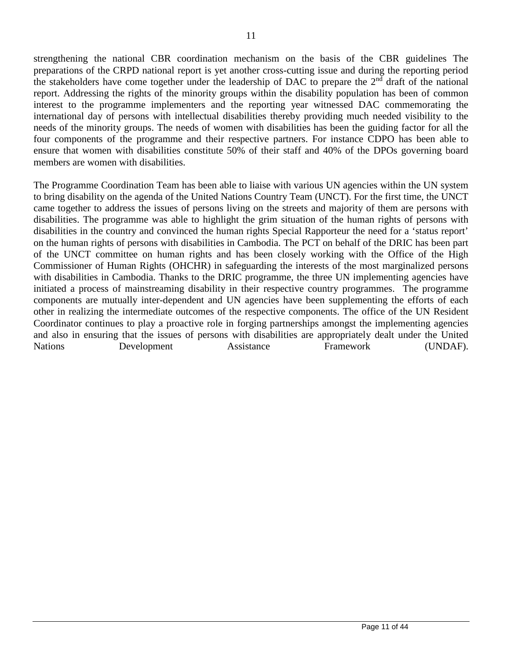strengthening the national CBR coordination mechanism on the basis of the CBR guidelines The preparations of the CRPD national report is yet another cross-cutting issue and during the reporting period the stakeholders have come together under the leadership of DAC to prepare the  $2<sup>nd</sup>$  draft of the national report. Addressing the rights of the minority groups within the disability population has been of common interest to the programme implementers and the reporting year witnessed DAC commemorating the international day of persons with intellectual disabilities thereby providing much needed visibility to the needs of the minority groups. The needs of women with disabilities has been the guiding factor for all the four components of the programme and their respective partners. For instance CDPO has been able to ensure that women with disabilities constitute 50% of their staff and 40% of the DPOs governing board members are women with disabilities.

The Programme Coordination Team has been able to liaise with various UN agencies within the UN system to bring disability on the agenda of the United Nations Country Team (UNCT). For the first time, the UNCT came together to address the issues of persons living on the streets and majority of them are persons with disabilities. The programme was able to highlight the grim situation of the human rights of persons with disabilities in the country and convinced the human rights Special Rapporteur the need for a 'status report' on the human rights of persons with disabilities in Cambodia. The PCT on behalf of the DRIC has been part of the UNCT committee on human rights and has been closely working with the Office of the High Commissioner of Human Rights (OHCHR) in safeguarding the interests of the most marginalized persons with disabilities in Cambodia. Thanks to the DRIC programme, the three UN implementing agencies have initiated a process of mainstreaming disability in their respective country programmes. The programme components are mutually inter-dependent and UN agencies have been supplementing the efforts of each other in realizing the intermediate outcomes of the respective components. The office of the UN Resident Coordinator continues to play a proactive role in forging partnerships amongst the implementing agencies and also in ensuring that the issues of persons with disabilities are appropriately dealt under the United Nations Development Assistance Framework (UNDAF).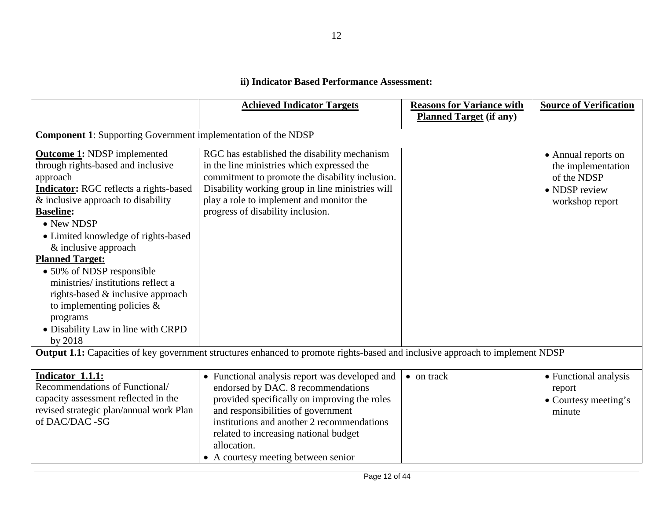# **ii) Indicator Based Performance Assessment:**

|                                                                                                                                                                                                                                                                                                                                                                                                                                                                                                                     | <b>Achieved Indicator Targets</b>                                                                                                                                                                                                                                                                                       | <b>Reasons for Variance with</b><br><b>Planned Target (if any)</b> | <b>Source of Verification</b>                                                                |  |
|---------------------------------------------------------------------------------------------------------------------------------------------------------------------------------------------------------------------------------------------------------------------------------------------------------------------------------------------------------------------------------------------------------------------------------------------------------------------------------------------------------------------|-------------------------------------------------------------------------------------------------------------------------------------------------------------------------------------------------------------------------------------------------------------------------------------------------------------------------|--------------------------------------------------------------------|----------------------------------------------------------------------------------------------|--|
|                                                                                                                                                                                                                                                                                                                                                                                                                                                                                                                     | <b>Component 1:</b> Supporting Government implementation of the NDSP                                                                                                                                                                                                                                                    |                                                                    |                                                                                              |  |
| <b>Outcome 1: NDSP</b> implemented<br>through rights-based and inclusive<br>approach<br><b>Indicator:</b> RGC reflects a rights-based<br>& inclusive approach to disability<br><b>Baseline:</b><br>$\bullet$ New NDSP<br>• Limited knowledge of rights-based<br>& inclusive approach<br><b>Planned Target:</b><br>• 50% of NDSP responsible<br>ministries/institutions reflect a<br>rights-based & inclusive approach<br>to implementing policies $\&$<br>programs<br>• Disability Law in line with CRPD<br>by 2018 | RGC has established the disability mechanism<br>in the line ministries which expressed the<br>commitment to promote the disability inclusion.<br>Disability working group in line ministries will<br>play a role to implement and monitor the<br>progress of disability inclusion.                                      |                                                                    | • Annual reports on<br>the implementation<br>of the NDSP<br>• NDSP review<br>workshop report |  |
|                                                                                                                                                                                                                                                                                                                                                                                                                                                                                                                     | Output 1.1: Capacities of key government structures enhanced to promote rights-based and inclusive approach to implement NDSP                                                                                                                                                                                           |                                                                    |                                                                                              |  |
| Indicator 1.1.1:<br>Recommendations of Functional/<br>capacity assessment reflected in the<br>revised strategic plan/annual work Plan<br>of DAC/DAC -SG                                                                                                                                                                                                                                                                                                                                                             | • Functional analysis report was developed and<br>endorsed by DAC. 8 recommendations<br>provided specifically on improving the roles<br>and responsibilities of government<br>institutions and another 2 recommendations<br>related to increasing national budget<br>allocation.<br>• A courtesy meeting between senior | $\bullet$ on track                                                 | • Functional analysis<br>report<br>• Courtesy meeting's<br>minute                            |  |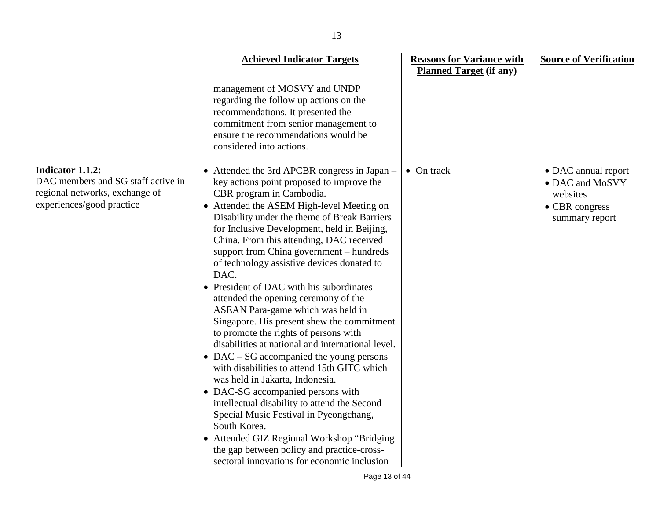|                                                                                                                              | <b>Achieved Indicator Targets</b>                                                                                                                                                                                                                                                                                                                                                                                                                                                                                                                                                                                                                                                                                                                                                                                                                                                                                                                                                                                                                                                                             | <b>Reasons for Variance with</b> | <b>Source of Verification</b>                                                          |
|------------------------------------------------------------------------------------------------------------------------------|---------------------------------------------------------------------------------------------------------------------------------------------------------------------------------------------------------------------------------------------------------------------------------------------------------------------------------------------------------------------------------------------------------------------------------------------------------------------------------------------------------------------------------------------------------------------------------------------------------------------------------------------------------------------------------------------------------------------------------------------------------------------------------------------------------------------------------------------------------------------------------------------------------------------------------------------------------------------------------------------------------------------------------------------------------------------------------------------------------------|----------------------------------|----------------------------------------------------------------------------------------|
|                                                                                                                              |                                                                                                                                                                                                                                                                                                                                                                                                                                                                                                                                                                                                                                                                                                                                                                                                                                                                                                                                                                                                                                                                                                               | <b>Planned Target (if any)</b>   |                                                                                        |
|                                                                                                                              | management of MOSVY and UNDP<br>regarding the follow up actions on the<br>recommendations. It presented the<br>commitment from senior management to<br>ensure the recommendations would be<br>considered into actions.                                                                                                                                                                                                                                                                                                                                                                                                                                                                                                                                                                                                                                                                                                                                                                                                                                                                                        |                                  |                                                                                        |
| <b>Indicator 1.1.2:</b><br>DAC members and SG staff active in<br>regional networks, exchange of<br>experiences/good practice | • Attended the 3rd APCBR congress in Japan –<br>key actions point proposed to improve the<br>CBR program in Cambodia.<br>• Attended the ASEM High-level Meeting on<br>Disability under the theme of Break Barriers<br>for Inclusive Development, held in Beijing,<br>China. From this attending, DAC received<br>support from China government – hundreds<br>of technology assistive devices donated to<br>DAC.<br>• President of DAC with his subordinates<br>attended the opening ceremony of the<br>ASEAN Para-game which was held in<br>Singapore. His present shew the commitment<br>to promote the rights of persons with<br>disabilities at national and international level.<br>• DAC – SG accompanied the young persons<br>with disabilities to attend 15th GITC which<br>was held in Jakarta, Indonesia.<br>• DAC-SG accompanied persons with<br>intellectual disability to attend the Second<br>Special Music Festival in Pyeongchang,<br>South Korea.<br>• Attended GIZ Regional Workshop "Bridging"<br>the gap between policy and practice-cross-<br>sectoral innovations for economic inclusion | $\bullet$ On track               | • DAC annual report<br>• DAC and MoSVY<br>websites<br>• CBR congress<br>summary report |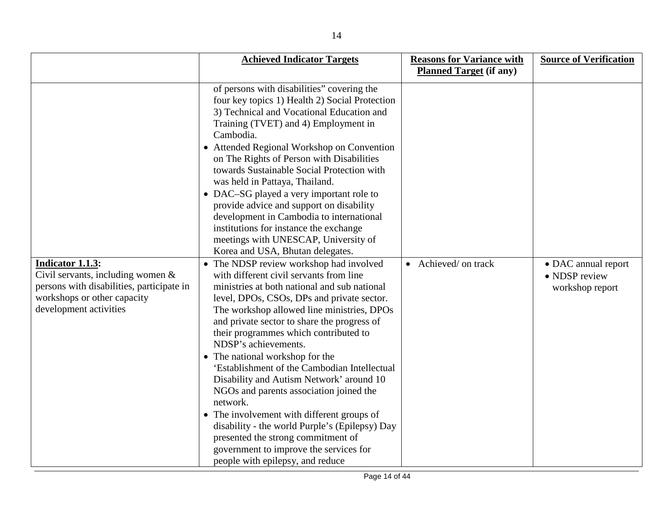|                                                                                                                                                                    | <b>Achieved Indicator Targets</b>                                                                                                                                                                                                                                                                                                                                                                                                                                                                                                                                                                                                                                                                                                                        | <b>Reasons for Variance with</b> | <b>Source of Verification</b>                           |
|--------------------------------------------------------------------------------------------------------------------------------------------------------------------|----------------------------------------------------------------------------------------------------------------------------------------------------------------------------------------------------------------------------------------------------------------------------------------------------------------------------------------------------------------------------------------------------------------------------------------------------------------------------------------------------------------------------------------------------------------------------------------------------------------------------------------------------------------------------------------------------------------------------------------------------------|----------------------------------|---------------------------------------------------------|
|                                                                                                                                                                    |                                                                                                                                                                                                                                                                                                                                                                                                                                                                                                                                                                                                                                                                                                                                                          | <b>Planned Target (if any)</b>   |                                                         |
|                                                                                                                                                                    | of persons with disabilities" covering the<br>four key topics 1) Health 2) Social Protection<br>3) Technical and Vocational Education and<br>Training (TVET) and 4) Employment in<br>Cambodia.<br>• Attended Regional Workshop on Convention<br>on The Rights of Person with Disabilities<br>towards Sustainable Social Protection with<br>was held in Pattaya, Thailand.<br>• DAC-SG played a very important role to<br>provide advice and support on disability<br>development in Cambodia to international<br>institutions for instance the exchange<br>meetings with UNESCAP, University of<br>Korea and USA, Bhutan delegates.                                                                                                                      |                                  |                                                         |
| <b>Indicator 1.1.3:</b><br>Civil servants, including women &<br>persons with disabilities, participate in<br>workshops or other capacity<br>development activities | • The NDSP review workshop had involved<br>with different civil servants from line<br>ministries at both national and sub national<br>level, DPOs, CSOs, DPs and private sector.<br>The workshop allowed line ministries, DPOs<br>and private sector to share the progress of<br>their programmes which contributed to<br>NDSP's achievements.<br>• The national workshop for the<br>'Establishment of the Cambodian Intellectual<br>Disability and Autism Network' around 10<br>NGOs and parents association joined the<br>network.<br>• The involvement with different groups of<br>disability - the world Purple's (Epilepsy) Day<br>presented the strong commitment of<br>government to improve the services for<br>people with epilepsy, and reduce | • Achieved/ on track             | • DAC annual report<br>• NDSP review<br>workshop report |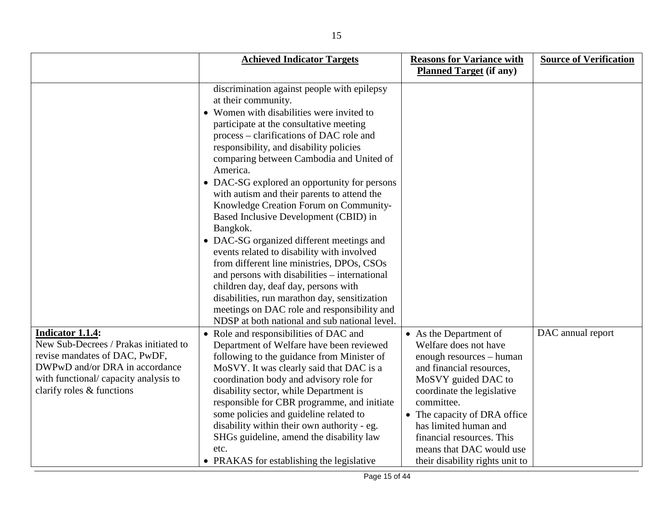|                                                                                                                                                                                                           | <b>Achieved Indicator Targets</b>                                                                                                                                                                                                                                                                                                                                                                                                                                                                                                                                                                                                                                                                                                                                                                                                         | <b>Reasons for Variance with</b>                                                                                                                                                                                                                                                                                                | <b>Source of Verification</b> |
|-----------------------------------------------------------------------------------------------------------------------------------------------------------------------------------------------------------|-------------------------------------------------------------------------------------------------------------------------------------------------------------------------------------------------------------------------------------------------------------------------------------------------------------------------------------------------------------------------------------------------------------------------------------------------------------------------------------------------------------------------------------------------------------------------------------------------------------------------------------------------------------------------------------------------------------------------------------------------------------------------------------------------------------------------------------------|---------------------------------------------------------------------------------------------------------------------------------------------------------------------------------------------------------------------------------------------------------------------------------------------------------------------------------|-------------------------------|
|                                                                                                                                                                                                           |                                                                                                                                                                                                                                                                                                                                                                                                                                                                                                                                                                                                                                                                                                                                                                                                                                           | <b>Planned Target (if any)</b>                                                                                                                                                                                                                                                                                                  |                               |
|                                                                                                                                                                                                           | discrimination against people with epilepsy<br>at their community.<br>• Women with disabilities were invited to<br>participate at the consultative meeting<br>process – clarifications of DAC role and<br>responsibility, and disability policies<br>comparing between Cambodia and United of<br>America.<br>• DAC-SG explored an opportunity for persons<br>with autism and their parents to attend the<br>Knowledge Creation Forum on Community-<br>Based Inclusive Development (CBID) in<br>Bangkok.<br>• DAC-SG organized different meetings and<br>events related to disability with involved<br>from different line ministries, DPOs, CSOs<br>and persons with disabilities – international<br>children day, deaf day, persons with<br>disabilities, run marathon day, sensitization<br>meetings on DAC role and responsibility and |                                                                                                                                                                                                                                                                                                                                 |                               |
| <b>Indicator 1.1.4:</b><br>New Sub-Decrees / Prakas initiated to<br>revise mandates of DAC, PwDF,<br>DWPwD and/or DRA in accordance<br>with functional/ capacity analysis to<br>clarify roles & functions | NDSP at both national and sub national level.<br>• Role and responsibilities of DAC and<br>Department of Welfare have been reviewed<br>following to the guidance from Minister of<br>MoSVY. It was clearly said that DAC is a<br>coordination body and advisory role for<br>disability sector, while Department is<br>responsible for CBR programme, and initiate<br>some policies and guideline related to<br>disability within their own authority - eg.<br>SHGs guideline, amend the disability law<br>etc.<br>• PRAKAS for establishing the legislative                                                                                                                                                                                                                                                                               | • As the Department of<br>Welfare does not have<br>enough resources – human<br>and financial resources,<br>MoSVY guided DAC to<br>coordinate the legislative<br>committee.<br>• The capacity of DRA office<br>has limited human and<br>financial resources. This<br>means that DAC would use<br>their disability rights unit to | DAC annual report             |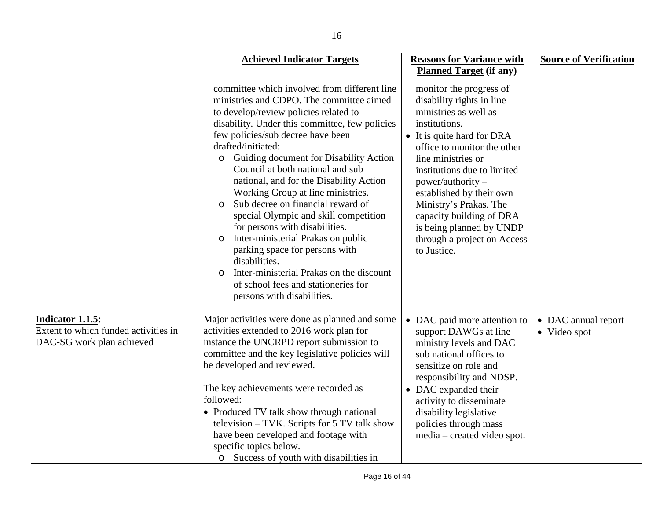|                                                                                              | <b>Achieved Indicator Targets</b>                                                                                                                                                                                                                                                                                                                                                                                                                                                                                                                                                                                                                                                                                                                                                   | <b>Reasons for Variance with</b>                                                                                                                                                                                                                                                                                                                                                                    | <b>Source of Verification</b>       |
|----------------------------------------------------------------------------------------------|-------------------------------------------------------------------------------------------------------------------------------------------------------------------------------------------------------------------------------------------------------------------------------------------------------------------------------------------------------------------------------------------------------------------------------------------------------------------------------------------------------------------------------------------------------------------------------------------------------------------------------------------------------------------------------------------------------------------------------------------------------------------------------------|-----------------------------------------------------------------------------------------------------------------------------------------------------------------------------------------------------------------------------------------------------------------------------------------------------------------------------------------------------------------------------------------------------|-------------------------------------|
|                                                                                              |                                                                                                                                                                                                                                                                                                                                                                                                                                                                                                                                                                                                                                                                                                                                                                                     | <b>Planned Target (if any)</b>                                                                                                                                                                                                                                                                                                                                                                      |                                     |
|                                                                                              | committee which involved from different line<br>ministries and CDPO. The committee aimed<br>to develop/review policies related to<br>disability. Under this committee, few policies<br>few policies/sub decree have been<br>drafted/initiated:<br>Guiding document for Disability Action<br>$\circ$<br>Council at both national and sub<br>national, and for the Disability Action<br>Working Group at line ministries.<br>Sub decree on financial reward of<br>$\Omega$<br>special Olympic and skill competition<br>for persons with disabilities.<br>Inter-ministerial Prakas on public<br>$\circ$<br>parking space for persons with<br>disabilities.<br>Inter-ministerial Prakas on the discount<br>$\circ$<br>of school fees and stationeries for<br>persons with disabilities. | monitor the progress of<br>disability rights in line<br>ministries as well as<br>institutions.<br>• It is quite hard for DRA<br>office to monitor the other<br>line ministries or<br>institutions due to limited<br>$power/authority -$<br>established by their own<br>Ministry's Prakas. The<br>capacity building of DRA<br>is being planned by UNDP<br>through a project on Access<br>to Justice. |                                     |
| <b>Indicator 1.1.5:</b><br>Extent to which funded activities in<br>DAC-SG work plan achieved | Major activities were done as planned and some<br>activities extended to 2016 work plan for<br>instance the UNCRPD report submission to<br>committee and the key legislative policies will<br>be developed and reviewed.<br>The key achievements were recorded as<br>followed:<br>• Produced TV talk show through national<br>television – TVK. Scripts for 5 TV talk show<br>have been developed and footage with<br>specific topics below.<br>o Success of youth with disabilities in                                                                                                                                                                                                                                                                                             | • DAC paid more attention to<br>support DAWGs at line<br>ministry levels and DAC<br>sub national offices to<br>sensitize on role and<br>responsibility and NDSP.<br>• DAC expanded their<br>activity to disseminate<br>disability legislative<br>policies through mass<br>media – created video spot.                                                                                               | • DAC annual report<br>• Video spot |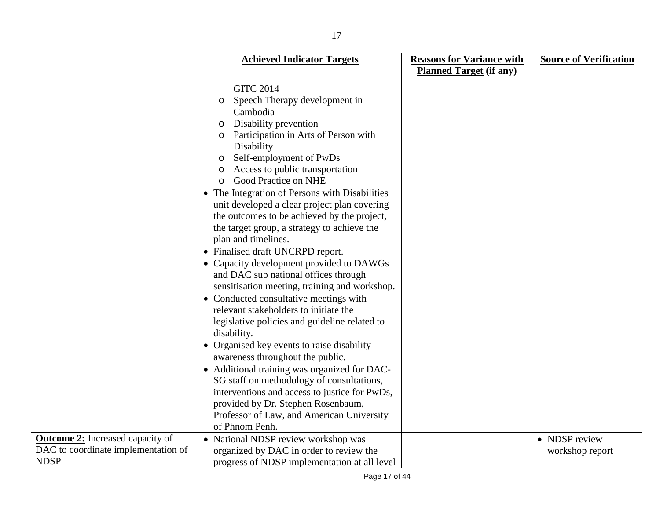|                                         | <b>Achieved Indicator Targets</b>                                                                                                                                                                                                                                                                                                                                                                                                                                                                                                                                                                                                                                                                                                                                                                                                                                                                                                                                                                                                                                                                                                         | <b>Reasons for Variance with</b> | <b>Source of Verification</b> |
|-----------------------------------------|-------------------------------------------------------------------------------------------------------------------------------------------------------------------------------------------------------------------------------------------------------------------------------------------------------------------------------------------------------------------------------------------------------------------------------------------------------------------------------------------------------------------------------------------------------------------------------------------------------------------------------------------------------------------------------------------------------------------------------------------------------------------------------------------------------------------------------------------------------------------------------------------------------------------------------------------------------------------------------------------------------------------------------------------------------------------------------------------------------------------------------------------|----------------------------------|-------------------------------|
|                                         |                                                                                                                                                                                                                                                                                                                                                                                                                                                                                                                                                                                                                                                                                                                                                                                                                                                                                                                                                                                                                                                                                                                                           | <b>Planned Target (if any)</b>   |                               |
|                                         | <b>GITC 2014</b><br>Speech Therapy development in<br>$\circ$<br>Cambodia<br>Disability prevention<br>$\circ$<br>Participation in Arts of Person with<br>Disability<br>Self-employment of PwDs<br>$\circ$<br>Access to public transportation<br>Good Practice on NHE<br>• The Integration of Persons with Disabilities<br>unit developed a clear project plan covering<br>the outcomes to be achieved by the project,<br>the target group, a strategy to achieve the<br>plan and timelines.<br>• Finalised draft UNCRPD report.<br>• Capacity development provided to DAWGs<br>and DAC sub national offices through<br>sensitisation meeting, training and workshop.<br>• Conducted consultative meetings with<br>relevant stakeholders to initiate the<br>legislative policies and guideline related to<br>disability.<br>• Organised key events to raise disability<br>awareness throughout the public.<br>• Additional training was organized for DAC-<br>SG staff on methodology of consultations,<br>interventions and access to justice for PwDs,<br>provided by Dr. Stephen Rosenbaum,<br>Professor of Law, and American University |                                  |                               |
|                                         | of Phnom Penh.                                                                                                                                                                                                                                                                                                                                                                                                                                                                                                                                                                                                                                                                                                                                                                                                                                                                                                                                                                                                                                                                                                                            |                                  |                               |
| <b>Outcome 2:</b> Increased capacity of | • National NDSP review workshop was                                                                                                                                                                                                                                                                                                                                                                                                                                                                                                                                                                                                                                                                                                                                                                                                                                                                                                                                                                                                                                                                                                       |                                  | • NDSP review                 |
| DAC to coordinate implementation of     | organized by DAC in order to review the                                                                                                                                                                                                                                                                                                                                                                                                                                                                                                                                                                                                                                                                                                                                                                                                                                                                                                                                                                                                                                                                                                   |                                  | workshop report               |
| <b>NDSP</b>                             | progress of NDSP implementation at all level                                                                                                                                                                                                                                                                                                                                                                                                                                                                                                                                                                                                                                                                                                                                                                                                                                                                                                                                                                                                                                                                                              |                                  |                               |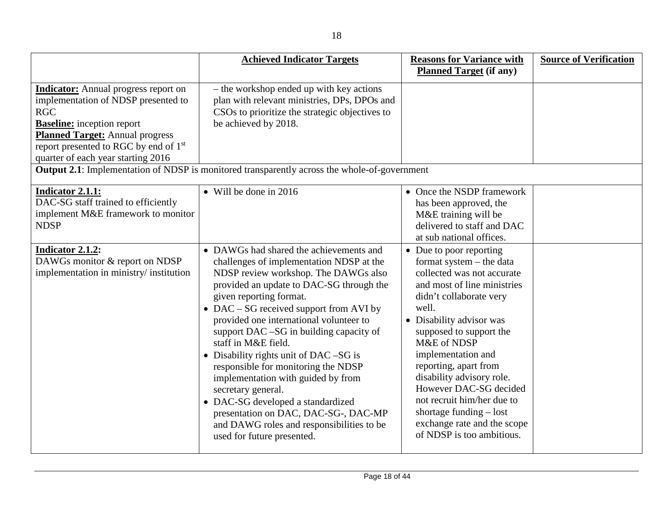|                                                                                                                                                                                                                                                                            | <b>Achieved Indicator Targets</b>                                                                                                                                                                                                                                                                                                                                                                                                                                                                                                                                                                                                                               | <b>Reasons for Variance with</b><br><b>Planned Target (if any)</b>                                                                                                                                                                                                                                                                                                                                                                                      | <b>Source of Verification</b> |
|----------------------------------------------------------------------------------------------------------------------------------------------------------------------------------------------------------------------------------------------------------------------------|-----------------------------------------------------------------------------------------------------------------------------------------------------------------------------------------------------------------------------------------------------------------------------------------------------------------------------------------------------------------------------------------------------------------------------------------------------------------------------------------------------------------------------------------------------------------------------------------------------------------------------------------------------------------|---------------------------------------------------------------------------------------------------------------------------------------------------------------------------------------------------------------------------------------------------------------------------------------------------------------------------------------------------------------------------------------------------------------------------------------------------------|-------------------------------|
| <b>Indicator:</b> Annual progress report on<br>implementation of NDSP presented to<br><b>RGC</b><br><b>Baseline:</b> inception report<br><b>Planned Target:</b> Annual progress<br>report presented to RGC by end of 1 <sup>st</sup><br>quarter of each year starting 2016 | - the workshop ended up with key actions<br>plan with relevant ministries, DPs, DPOs and<br>CSOs to prioritize the strategic objectives to<br>be achieved by 2018.<br><b>Output 2.1:</b> Implementation of NDSP is monitored transparently across the whole-of-government                                                                                                                                                                                                                                                                                                                                                                                       |                                                                                                                                                                                                                                                                                                                                                                                                                                                         |                               |
| <b>Indicator 2.1.1:</b><br>DAC-SG staff trained to efficiently<br>implement M&E framework to monitor<br><b>NDSP</b>                                                                                                                                                        | • Will be done in $2016$                                                                                                                                                                                                                                                                                                                                                                                                                                                                                                                                                                                                                                        | • Once the NSDP framework<br>has been approved, the<br>M&E training will be<br>delivered to staff and DAC<br>at sub national offices.                                                                                                                                                                                                                                                                                                                   |                               |
| <b>Indicator 2.1.2:</b><br>DAWGs monitor & report on NDSP<br>implementation in ministry/institution                                                                                                                                                                        | • DAWGs had shared the achievements and<br>challenges of implementation NDSP at the<br>NDSP review workshop. The DAWGs also<br>provided an update to DAC-SG through the<br>given reporting format.<br>• DAC – SG received support from AVI by<br>provided one international volunteer to<br>support DAC -SG in building capacity of<br>staff in M&E field.<br>• Disability rights unit of DAC –SG is<br>responsible for monitoring the NDSP<br>implementation with guided by from<br>secretary general.<br>• DAC-SG developed a standardized<br>presentation on DAC, DAC-SG-, DAC-MP<br>and DAWG roles and responsibilities to be<br>used for future presented. | • Due to poor reporting<br>format system - the data<br>collected was not accurate<br>and most of line ministries<br>didn't collaborate very<br>well.<br>• Disability advisor was<br>supposed to support the<br>M&E of NDSP<br>implementation and<br>reporting, apart from<br>disability advisory role.<br>However DAC-SG decided<br>not recruit him/her due to<br>shortage funding $-$ lost<br>exchange rate and the scope<br>of NDSP is too ambitious. |                               |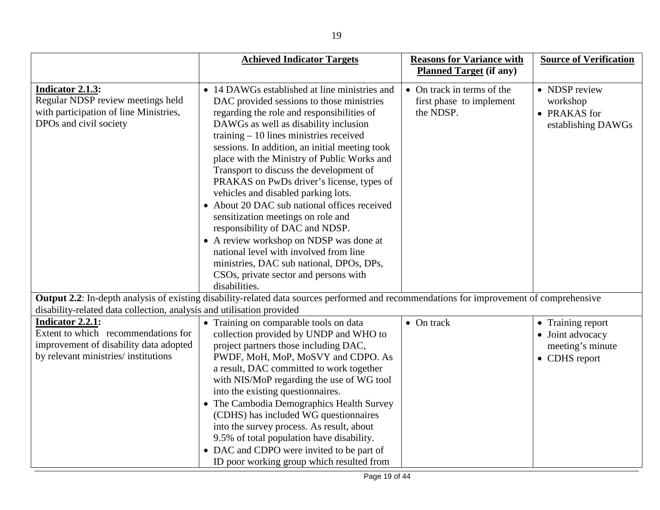|                                                                                                                                                  | <b>Achieved Indicator Targets</b>                                                                                                                                                                                                                                                                                                                                                                                                                                                                                                                                                                                                                                                                                                                                                 | <b>Reasons for Variance with</b>                                    | <b>Source of Verification</b>                                              |
|--------------------------------------------------------------------------------------------------------------------------------------------------|-----------------------------------------------------------------------------------------------------------------------------------------------------------------------------------------------------------------------------------------------------------------------------------------------------------------------------------------------------------------------------------------------------------------------------------------------------------------------------------------------------------------------------------------------------------------------------------------------------------------------------------------------------------------------------------------------------------------------------------------------------------------------------------|---------------------------------------------------------------------|----------------------------------------------------------------------------|
|                                                                                                                                                  |                                                                                                                                                                                                                                                                                                                                                                                                                                                                                                                                                                                                                                                                                                                                                                                   | <b>Planned Target (if any)</b>                                      |                                                                            |
| Indicator 2.1.3:<br>Regular NDSP review meetings held<br>with participation of line Ministries,<br>DPOs and civil society                        | • 14 DAWGs established at line ministries and<br>DAC provided sessions to those ministries<br>regarding the role and responsibilities of<br>DAWGs as well as disability inclusion<br>training $-10$ lines ministries received<br>sessions. In addition, an initial meeting took<br>place with the Ministry of Public Works and<br>Transport to discuss the development of<br>PRAKAS on PwDs driver's license, types of<br>vehicles and disabled parking lots.<br>• About 20 DAC sub national offices received<br>sensitization meetings on role and<br>responsibility of DAC and NDSP.<br>• A review workshop on NDSP was done at<br>national level with involved from line<br>ministries, DAC sub national, DPOs, DPs,<br>CSOs, private sector and persons with<br>disabilities. | • On track in terms of the<br>first phase to implement<br>the NDSP. | • NDSP review<br>workshop<br>• PRAKAS for<br>establishing DAWGs            |
| disability-related data collection, analysis and utilisation provided                                                                            | Output 2.2: In-depth analysis of existing disability-related data sources performed and recommendations for improvement of comprehensive                                                                                                                                                                                                                                                                                                                                                                                                                                                                                                                                                                                                                                          |                                                                     |                                                                            |
| <b>Indicator 2.2.1:</b><br>Extent to which recommendations for<br>improvement of disability data adopted<br>by relevant ministries/ institutions | • Training on comparable tools on data<br>collection provided by UNDP and WHO to<br>project partners those including DAC,<br>PWDF, MoH, MoP, MoSVY and CDPO. As<br>a result, DAC committed to work together<br>with NIS/MoP regarding the use of WG tool<br>into the existing questionnaires.<br>• The Cambodia Demographics Health Survey<br>(CDHS) has included WG questionnaires<br>into the survey process. As result, about<br>9.5% of total population have disability.<br>• DAC and CDPO were invited to be part of<br>ID poor working group which resulted from                                                                                                                                                                                                           | $\bullet$ On track                                                  | • Training report<br>• Joint advocacy<br>meeting's minute<br>• CDHS report |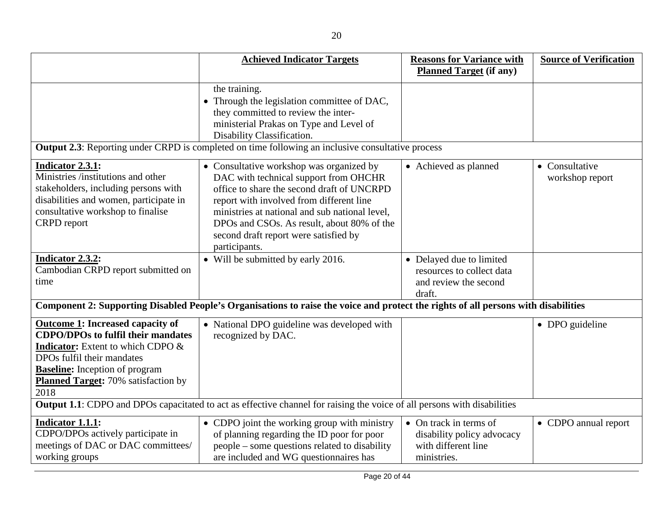|                                                                                                                                                                                                                                                               | <b>Achieved Indicator Targets</b>                                                                                                                                                                                                                                                                                                     | <b>Reasons for Variance with</b>                                                           | <b>Source of Verification</b>     |
|---------------------------------------------------------------------------------------------------------------------------------------------------------------------------------------------------------------------------------------------------------------|---------------------------------------------------------------------------------------------------------------------------------------------------------------------------------------------------------------------------------------------------------------------------------------------------------------------------------------|--------------------------------------------------------------------------------------------|-----------------------------------|
|                                                                                                                                                                                                                                                               |                                                                                                                                                                                                                                                                                                                                       | <b>Planned Target (if any)</b>                                                             |                                   |
|                                                                                                                                                                                                                                                               | the training.<br>• Through the legislation committee of DAC,<br>they committed to review the inter-<br>ministerial Prakas on Type and Level of<br>Disability Classification.                                                                                                                                                          |                                                                                            |                                   |
|                                                                                                                                                                                                                                                               | <b>Output 2.3:</b> Reporting under CRPD is completed on time following an inclusive consultative process                                                                                                                                                                                                                              |                                                                                            |                                   |
| <b>Indicator 2.3.1:</b><br>Ministries /institutions and other<br>stakeholders, including persons with<br>disabilities and women, participate in<br>consultative workshop to finalise<br><b>CRPD</b> report                                                    | • Consultative workshop was organized by<br>DAC with technical support from OHCHR<br>office to share the second draft of UNCRPD<br>report with involved from different line<br>ministries at national and sub national level,<br>DPOs and CSOs. As result, about 80% of the<br>second draft report were satisfied by<br>participants. | • Achieved as planned                                                                      | • Consultative<br>workshop report |
| Indicator 2.3.2:<br>Cambodian CRPD report submitted on<br>time                                                                                                                                                                                                | • Will be submitted by early 2016.                                                                                                                                                                                                                                                                                                    | • Delayed due to limited<br>resources to collect data<br>and review the second<br>draft.   |                                   |
|                                                                                                                                                                                                                                                               | Component 2: Supporting Disabled People's Organisations to raise the voice and protect the rights of all persons with disabilities                                                                                                                                                                                                    |                                                                                            |                                   |
| <b>Outcome 1: Increased capacity of</b><br><b>CDPO/DPOs to fulfil their mandates</b><br><b>Indicator:</b> Extent to which CDPO &<br>DPOs fulfil their mandates<br><b>Baseline:</b> Inception of program<br><b>Planned Target: 70% satisfaction by</b><br>2018 | • National DPO guideline was developed with<br>recognized by DAC.                                                                                                                                                                                                                                                                     |                                                                                            | • DPO guideline                   |
|                                                                                                                                                                                                                                                               | <b>Output 1.1:</b> CDPO and DPOs capacitated to act as effective channel for raising the voice of all persons with disabilities                                                                                                                                                                                                       |                                                                                            |                                   |
| <b>Indicator 1.1.1:</b><br>CDPO/DPOs actively participate in<br>meetings of DAC or DAC committees/<br>working groups                                                                                                                                          | • CDPO joint the working group with ministry<br>of planning regarding the ID poor for poor<br>people – some questions related to disability<br>are included and WG questionnaires has                                                                                                                                                 | • On track in terms of<br>disability policy advocacy<br>with different line<br>ministries. | • CDPO annual report              |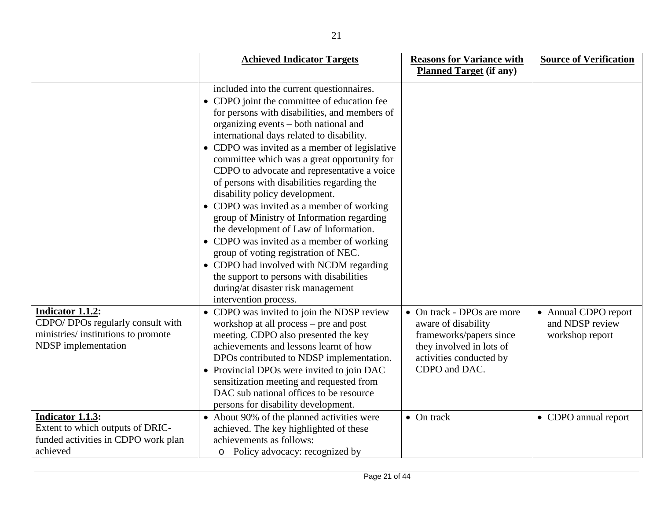|                                                                                                                           | <b>Achieved Indicator Targets</b>                                                                                                                                                                                                                                                                                                                                                                                                                                                                                                                                                                                                                                                                                                                                                                                                              | <b>Reasons for Variance with</b>                                                                                                                     | <b>Source of Verification</b>                              |
|---------------------------------------------------------------------------------------------------------------------------|------------------------------------------------------------------------------------------------------------------------------------------------------------------------------------------------------------------------------------------------------------------------------------------------------------------------------------------------------------------------------------------------------------------------------------------------------------------------------------------------------------------------------------------------------------------------------------------------------------------------------------------------------------------------------------------------------------------------------------------------------------------------------------------------------------------------------------------------|------------------------------------------------------------------------------------------------------------------------------------------------------|------------------------------------------------------------|
|                                                                                                                           |                                                                                                                                                                                                                                                                                                                                                                                                                                                                                                                                                                                                                                                                                                                                                                                                                                                | <b>Planned Target (if any)</b>                                                                                                                       |                                                            |
|                                                                                                                           | included into the current questionnaires.<br>• CDPO joint the committee of education fee<br>for persons with disabilities, and members of<br>organizing events – both national and<br>international days related to disability.<br>• CDPO was invited as a member of legislative<br>committee which was a great opportunity for<br>CDPO to advocate and representative a voice<br>of persons with disabilities regarding the<br>disability policy development.<br>• CDPO was invited as a member of working<br>group of Ministry of Information regarding<br>the development of Law of Information.<br>• CDPO was invited as a member of working<br>group of voting registration of NEC.<br>• CDPO had involved with NCDM regarding<br>the support to persons with disabilities<br>during/at disaster risk management<br>intervention process. |                                                                                                                                                      |                                                            |
| <b>Indicator 1.1.2:</b><br>CDPO/ DPOs regularly consult with<br>ministries/institutions to promote<br>NDSP implementation | • CDPO was invited to join the NDSP review<br>workshop at all process - pre and post<br>meeting. CDPO also presented the key<br>achievements and lessons learnt of how<br>DPOs contributed to NDSP implementation.<br>• Provincial DPOs were invited to join DAC<br>sensitization meeting and requested from<br>DAC sub national offices to be resource<br>persons for disability development.                                                                                                                                                                                                                                                                                                                                                                                                                                                 | • On track - DPOs are more<br>aware of disability<br>frameworks/papers since<br>they involved in lots of<br>activities conducted by<br>CDPO and DAC. | • Annual CDPO report<br>and NDSP review<br>workshop report |
| <b>Indicator 1.1.3:</b><br>Extent to which outputs of DRIC-<br>funded activities in CDPO work plan<br>achieved            | • About 90% of the planned activities were<br>achieved. The key highlighted of these<br>achievements as follows:<br>Policy advocacy: recognized by<br>$\circ$                                                                                                                                                                                                                                                                                                                                                                                                                                                                                                                                                                                                                                                                                  | $\bullet$ On track                                                                                                                                   | • CDPO annual report                                       |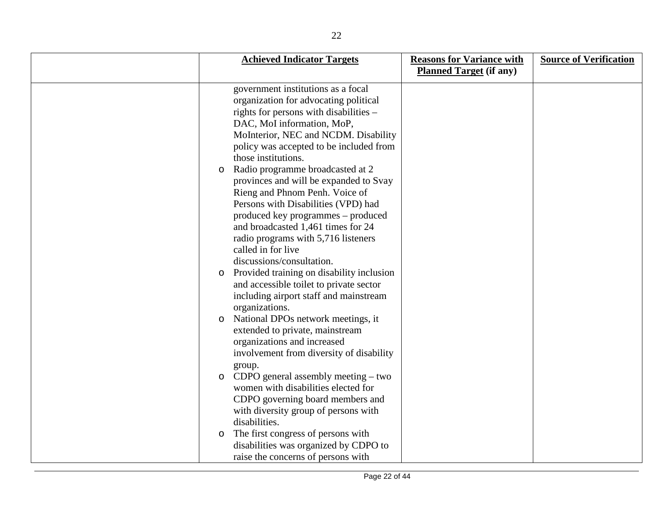|         | <b>Achieved Indicator Targets</b>         | <b>Reasons for Variance with</b><br><b>Planned Target (if any)</b> | <b>Source of Verification</b> |
|---------|-------------------------------------------|--------------------------------------------------------------------|-------------------------------|
|         |                                           |                                                                    |                               |
|         | government institutions as a focal        |                                                                    |                               |
|         | organization for advocating political     |                                                                    |                               |
|         | rights for persons with disabilities -    |                                                                    |                               |
|         | DAC, MoI information, MoP,                |                                                                    |                               |
|         | MoInterior, NEC and NCDM. Disability      |                                                                    |                               |
|         | policy was accepted to be included from   |                                                                    |                               |
|         | those institutions.                       |                                                                    |                               |
| $\circ$ | Radio programme broadcasted at 2          |                                                                    |                               |
|         | provinces and will be expanded to Svay    |                                                                    |                               |
|         | Rieng and Phnom Penh. Voice of            |                                                                    |                               |
|         | Persons with Disabilities (VPD) had       |                                                                    |                               |
|         | produced key programmes – produced        |                                                                    |                               |
|         | and broadcasted 1,461 times for 24        |                                                                    |                               |
|         | radio programs with 5,716 listeners       |                                                                    |                               |
|         | called in for live                        |                                                                    |                               |
|         | discussions/consultation.                 |                                                                    |                               |
| $\circ$ | Provided training on disability inclusion |                                                                    |                               |
|         | and accessible toilet to private sector   |                                                                    |                               |
|         | including airport staff and mainstream    |                                                                    |                               |
|         | organizations.                            |                                                                    |                               |
| $\circ$ | National DPOs network meetings, it        |                                                                    |                               |
|         | extended to private, mainstream           |                                                                    |                               |
|         | organizations and increased               |                                                                    |                               |
|         | involvement from diversity of disability  |                                                                    |                               |
|         | group.                                    |                                                                    |                               |
| $\circ$ | CDPO general assembly meeting $-$ two     |                                                                    |                               |
|         | women with disabilities elected for       |                                                                    |                               |
|         | CDPO governing board members and          |                                                                    |                               |
|         | with diversity group of persons with      |                                                                    |                               |
|         | disabilities.                             |                                                                    |                               |
| $\circ$ | The first congress of persons with        |                                                                    |                               |
|         | disabilities was organized by CDPO to     |                                                                    |                               |
|         | raise the concerns of persons with        |                                                                    |                               |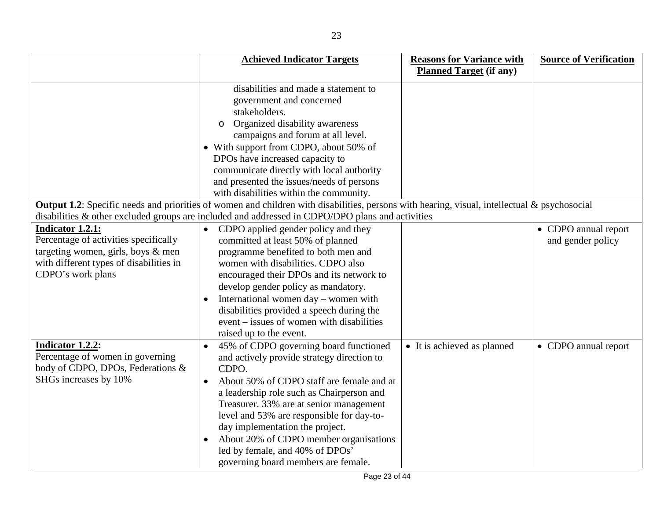|                                         | <b>Achieved Indicator Targets</b>                                                                                                            | <b>Reasons for Variance with</b> | <b>Source of Verification</b> |
|-----------------------------------------|----------------------------------------------------------------------------------------------------------------------------------------------|----------------------------------|-------------------------------|
|                                         |                                                                                                                                              | <b>Planned Target (if any)</b>   |                               |
|                                         | disabilities and made a statement to                                                                                                         |                                  |                               |
|                                         | government and concerned                                                                                                                     |                                  |                               |
|                                         | stakeholders.                                                                                                                                |                                  |                               |
|                                         | Organized disability awareness<br>$\circ$                                                                                                    |                                  |                               |
|                                         | campaigns and forum at all level.                                                                                                            |                                  |                               |
|                                         | • With support from CDPO, about 50% of                                                                                                       |                                  |                               |
|                                         | DPOs have increased capacity to                                                                                                              |                                  |                               |
|                                         | communicate directly with local authority                                                                                                    |                                  |                               |
|                                         | and presented the issues/needs of persons                                                                                                    |                                  |                               |
|                                         | with disabilities within the community.                                                                                                      |                                  |                               |
|                                         | Output 1.2: Specific needs and priorities of women and children with disabilities, persons with hearing, visual, intellectual & psychosocial |                                  |                               |
|                                         | disabilities & other excluded groups are included and addressed in CDPO/DPO plans and activities                                             |                                  |                               |
| Indicator 1.2.1:                        | CDPO applied gender policy and they<br>$\bullet$                                                                                             |                                  | • CDPO annual report          |
| Percentage of activities specifically   | committed at least 50% of planned                                                                                                            |                                  | and gender policy             |
| targeting women, girls, boys & men      | programme benefited to both men and                                                                                                          |                                  |                               |
| with different types of disabilities in | women with disabilities. CDPO also                                                                                                           |                                  |                               |
| CDPO's work plans                       | encouraged their DPOs and its network to                                                                                                     |                                  |                               |
|                                         | develop gender policy as mandatory.                                                                                                          |                                  |                               |
|                                         | International women day – women with                                                                                                         |                                  |                               |
|                                         | disabilities provided a speech during the                                                                                                    |                                  |                               |
|                                         | event – issues of women with disabilities                                                                                                    |                                  |                               |
|                                         | raised up to the event.                                                                                                                      |                                  |                               |
| Indicator 1.2.2:                        | 45% of CDPO governing board functioned                                                                                                       | • It is achieved as planned      | • CDPO annual report          |
| Percentage of women in governing        | and actively provide strategy direction to                                                                                                   |                                  |                               |
| body of CDPO, DPOs, Federations &       | CDPO.                                                                                                                                        |                                  |                               |
| SHGs increases by 10%                   | About 50% of CDPO staff are female and at<br>$\bullet$                                                                                       |                                  |                               |
|                                         | a leadership role such as Chairperson and                                                                                                    |                                  |                               |
|                                         | Treasurer. 33% are at senior management                                                                                                      |                                  |                               |
|                                         | level and 53% are responsible for day-to-                                                                                                    |                                  |                               |
|                                         | day implementation the project.                                                                                                              |                                  |                               |
|                                         | About 20% of CDPO member organisations                                                                                                       |                                  |                               |
|                                         | led by female, and 40% of DPOs'                                                                                                              |                                  |                               |
|                                         | governing board members are female.                                                                                                          |                                  |                               |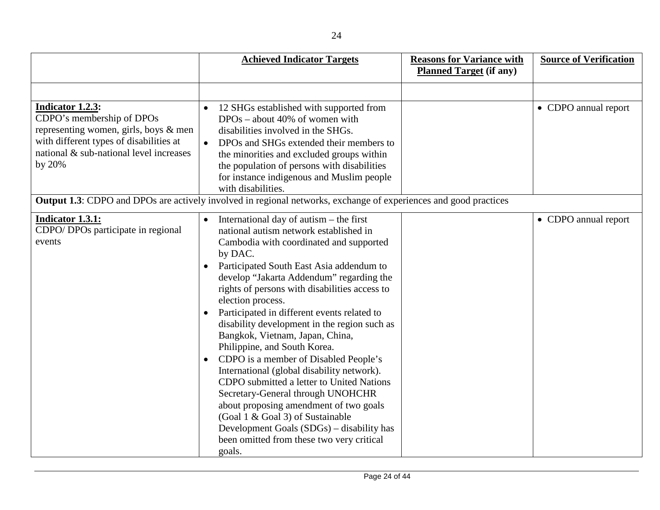|                                                                                                                                                                                               | <b>Achieved Indicator Targets</b>                                                                                                                                                                                                                                                                                                                                                                                                                                                                                                                                                                                                                                                                                                                                                                                                                                                        | <b>Reasons for Variance with</b> | <b>Source of Verification</b> |
|-----------------------------------------------------------------------------------------------------------------------------------------------------------------------------------------------|------------------------------------------------------------------------------------------------------------------------------------------------------------------------------------------------------------------------------------------------------------------------------------------------------------------------------------------------------------------------------------------------------------------------------------------------------------------------------------------------------------------------------------------------------------------------------------------------------------------------------------------------------------------------------------------------------------------------------------------------------------------------------------------------------------------------------------------------------------------------------------------|----------------------------------|-------------------------------|
|                                                                                                                                                                                               |                                                                                                                                                                                                                                                                                                                                                                                                                                                                                                                                                                                                                                                                                                                                                                                                                                                                                          | <b>Planned Target</b> (if any)   |                               |
|                                                                                                                                                                                               |                                                                                                                                                                                                                                                                                                                                                                                                                                                                                                                                                                                                                                                                                                                                                                                                                                                                                          |                                  |                               |
| <b>Indicator 1.2.3:</b><br>CDPO's membership of DPOs<br>representing women, girls, boys & men<br>with different types of disabilities at<br>national & sub-national level increases<br>by 20% | 12 SHGs established with supported from<br>$\bullet$<br>$DPOs - about 40\%$ of women with<br>disabilities involved in the SHGs.<br>DPOs and SHGs extended their members to<br>$\bullet$<br>the minorities and excluded groups within<br>the population of persons with disabilities<br>for instance indigenous and Muslim people<br>with disabilities.<br><b>Output 1.3:</b> CDPO and DPOs are actively involved in regional networks, exchange of experiences and good practices                                                                                                                                                                                                                                                                                                                                                                                                        |                                  | • CDPO annual report          |
|                                                                                                                                                                                               |                                                                                                                                                                                                                                                                                                                                                                                                                                                                                                                                                                                                                                                                                                                                                                                                                                                                                          |                                  |                               |
| <b>Indicator 1.3.1:</b><br>CDPO/ DPOs participate in regional<br>events                                                                                                                       | International day of autism $-$ the first<br>$\bullet$<br>national autism network established in<br>Cambodia with coordinated and supported<br>by DAC.<br>Participated South East Asia addendum to<br>$\bullet$<br>develop "Jakarta Addendum" regarding the<br>rights of persons with disabilities access to<br>election process.<br>Participated in different events related to<br>$\bullet$<br>disability development in the region such as<br>Bangkok, Vietnam, Japan, China,<br>Philippine, and South Korea.<br>CDPO is a member of Disabled People's<br>$\bullet$<br>International (global disability network).<br>CDPO submitted a letter to United Nations<br>Secretary-General through UNOHCHR<br>about proposing amendment of two goals<br>(Goal 1 & Goal 3) of Sustainable<br>Development Goals (SDGs) – disability has<br>been omitted from these two very critical<br>goals. |                                  | • CDPO annual report          |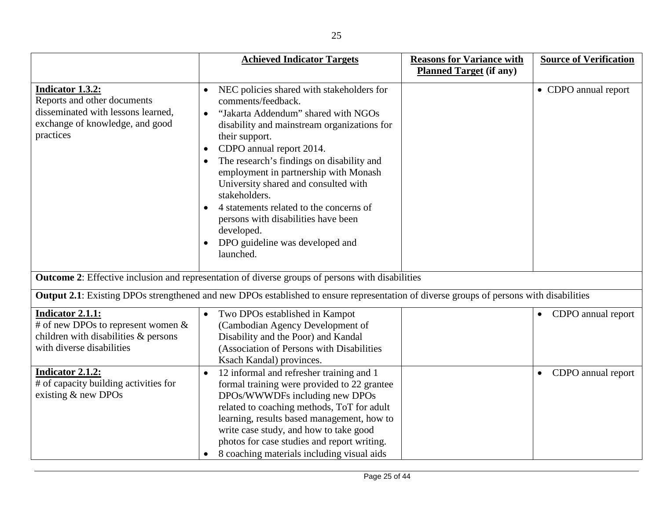|                                                                                                                                       | <b>Achieved Indicator Targets</b>                                                                                                                                                                                                                                                                                                                                                                                                                                                                               | <b>Reasons for Variance with</b> | <b>Source of Verification</b>   |
|---------------------------------------------------------------------------------------------------------------------------------------|-----------------------------------------------------------------------------------------------------------------------------------------------------------------------------------------------------------------------------------------------------------------------------------------------------------------------------------------------------------------------------------------------------------------------------------------------------------------------------------------------------------------|----------------------------------|---------------------------------|
|                                                                                                                                       |                                                                                                                                                                                                                                                                                                                                                                                                                                                                                                                 | <b>Planned Target (if any)</b>   |                                 |
| Indicator 1.3.2:<br>Reports and other documents<br>disseminated with lessons learned,<br>exchange of knowledge, and good<br>practices | NEC policies shared with stakeholders for<br>comments/feedback.<br>"Jakarta Addendum" shared with NGOs<br>disability and mainstream organizations for<br>their support.<br>CDPO annual report 2014.<br>$\bullet$<br>The research's findings on disability and<br>employment in partnership with Monash<br>University shared and consulted with<br>stakeholders.<br>4 statements related to the concerns of<br>persons with disabilities have been<br>developed.<br>DPO guideline was developed and<br>launched. |                                  | • CDPO annual report            |
|                                                                                                                                       | <b>Outcome 2:</b> Effective inclusion and representation of diverse groups of persons with disabilities                                                                                                                                                                                                                                                                                                                                                                                                         |                                  |                                 |
|                                                                                                                                       | <b>Output 2.1</b> : Existing DPOs strengthened and new DPOs established to ensure representation of diverse groups of persons with disabilities                                                                                                                                                                                                                                                                                                                                                                 |                                  |                                 |
| <b>Indicator 2.1.1:</b><br># of new DPOs to represent women $\&$<br>children with disabilities & persons<br>with diverse disabilities | Two DPOs established in Kampot<br>$\bullet$<br>(Cambodian Agency Development of<br>Disability and the Poor) and Kandal<br>(Association of Persons with Disabilities<br>Ksach Kandal) provinces.                                                                                                                                                                                                                                                                                                                 |                                  | • CDPO annual report            |
| Indicator 2.1.2:<br># of capacity building activities for<br>existing $&$ new DPOs                                                    | 12 informal and refresher training and 1<br>formal training were provided to 22 grantee<br>DPOs/WWWDFs including new DPOs<br>related to coaching methods, ToT for adult<br>learning, results based management, how to<br>write case study, and how to take good<br>photos for case studies and report writing.<br>8 coaching materials including visual aids<br>$\bullet$                                                                                                                                       |                                  | CDPO annual report<br>$\bullet$ |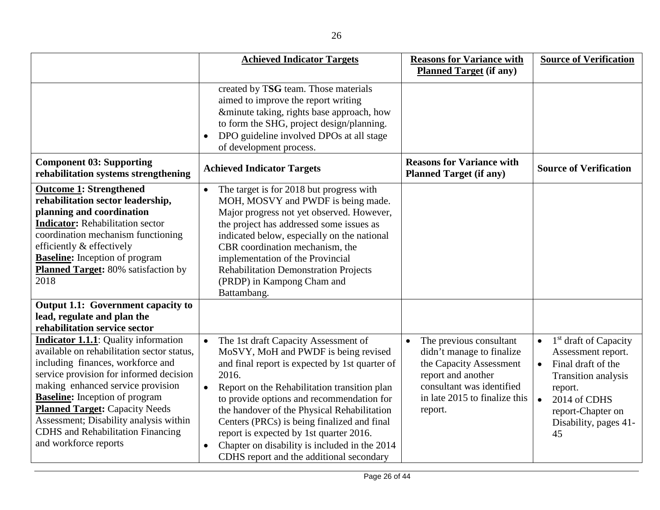|                                                                                                                                                                                                                                                                                                                                                                                                                 | <b>Achieved Indicator Targets</b>                                                                                                                                                                                                                                                                                                                                                                                                                                          | <b>Reasons for Variance with</b>                                                                                                                                                            | <b>Source of Verification</b>                                                                                                                                                                                              |
|-----------------------------------------------------------------------------------------------------------------------------------------------------------------------------------------------------------------------------------------------------------------------------------------------------------------------------------------------------------------------------------------------------------------|----------------------------------------------------------------------------------------------------------------------------------------------------------------------------------------------------------------------------------------------------------------------------------------------------------------------------------------------------------------------------------------------------------------------------------------------------------------------------|---------------------------------------------------------------------------------------------------------------------------------------------------------------------------------------------|----------------------------------------------------------------------------------------------------------------------------------------------------------------------------------------------------------------------------|
|                                                                                                                                                                                                                                                                                                                                                                                                                 |                                                                                                                                                                                                                                                                                                                                                                                                                                                                            | <b>Planned Target (if any)</b>                                                                                                                                                              |                                                                                                                                                                                                                            |
|                                                                                                                                                                                                                                                                                                                                                                                                                 | created by TSG team. Those materials<br>aimed to improve the report writing<br>&minute taking, rights base approach, how<br>to form the SHG, project design/planning.<br>DPO guideline involved DPOs at all stage<br>of development process.                                                                                                                                                                                                                               |                                                                                                                                                                                             |                                                                                                                                                                                                                            |
| <b>Component 03: Supporting</b><br>rehabilitation systems strengthening                                                                                                                                                                                                                                                                                                                                         | <b>Achieved Indicator Targets</b>                                                                                                                                                                                                                                                                                                                                                                                                                                          | <b>Reasons for Variance with</b><br><b>Planned Target (if any)</b>                                                                                                                          | <b>Source of Verification</b>                                                                                                                                                                                              |
| <b>Outcome 1: Strengthened</b><br>rehabilitation sector leadership,<br>planning and coordination<br><b>Indicator:</b> Rehabilitation sector<br>coordination mechanism functioning<br>efficiently & effectively<br><b>Baseline:</b> Inception of program<br><b>Planned Target:</b> 80% satisfaction by<br>2018                                                                                                   | The target is for 2018 but progress with<br>MOH, MOSVY and PWDF is being made.<br>Major progress not yet observed. However,<br>the project has addressed some issues as<br>indicated below, especially on the national<br>CBR coordination mechanism, the<br>implementation of the Provincial<br><b>Rehabilitation Demonstration Projects</b><br>(PRDP) in Kampong Cham and<br>Battambang.                                                                                 |                                                                                                                                                                                             |                                                                                                                                                                                                                            |
| <b>Output 1.1: Government capacity to</b><br>lead, regulate and plan the<br>rehabilitation service sector                                                                                                                                                                                                                                                                                                       |                                                                                                                                                                                                                                                                                                                                                                                                                                                                            |                                                                                                                                                                                             |                                                                                                                                                                                                                            |
| <b>Indicator 1.1.1:</b> Quality information<br>available on rehabilitation sector status,<br>including finances, workforce and<br>service provision for informed decision<br>making enhanced service provision<br><b>Baseline:</b> Inception of program<br><b>Planned Target:</b> Capacity Needs<br>Assessment; Disability analysis within<br><b>CDHS</b> and Rehabilitation Financing<br>and workforce reports | The 1st draft Capacity Assessment of<br>MoSVY, MoH and PWDF is being revised<br>and final report is expected by 1st quarter of<br>2016.<br>Report on the Rehabilitation transition plan<br>to provide options and recommendation for<br>the handover of the Physical Rehabilitation<br>Centers (PRCs) is being finalized and final<br>report is expected by 1st quarter 2016.<br>Chapter on disability is included in the 2014<br>CDHS report and the additional secondary | The previous consultant<br>$\bullet$<br>didn't manage to finalize<br>the Capacity Assessment<br>report and another<br>consultant was identified<br>in late 2015 to finalize this<br>report. | 1 <sup>st</sup> draft of Capacity<br>$\bullet$<br>Assessment report.<br>Final draft of the<br>$\bullet$<br>Transition analysis<br>report.<br>$\bullet$<br>2014 of CDHS<br>report-Chapter on<br>Disability, pages 41-<br>45 |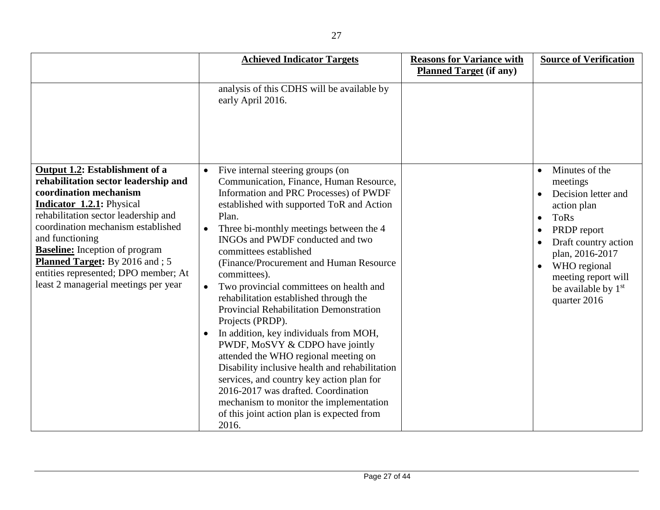|                                                                                                                                                                                                                                                                                                                                                                                                          | <b>Achieved Indicator Targets</b>                                                                                                                                                                                                                                                                                                                                                                                                                                                                                                                                                                                                                                                                                                                                                                                                                                                           | <b>Reasons for Variance with</b><br><b>Planned Target (if any)</b> | <b>Source of Verification</b>                                                                                                                                                                                                                    |
|----------------------------------------------------------------------------------------------------------------------------------------------------------------------------------------------------------------------------------------------------------------------------------------------------------------------------------------------------------------------------------------------------------|---------------------------------------------------------------------------------------------------------------------------------------------------------------------------------------------------------------------------------------------------------------------------------------------------------------------------------------------------------------------------------------------------------------------------------------------------------------------------------------------------------------------------------------------------------------------------------------------------------------------------------------------------------------------------------------------------------------------------------------------------------------------------------------------------------------------------------------------------------------------------------------------|--------------------------------------------------------------------|--------------------------------------------------------------------------------------------------------------------------------------------------------------------------------------------------------------------------------------------------|
|                                                                                                                                                                                                                                                                                                                                                                                                          | analysis of this CDHS will be available by<br>early April 2016.                                                                                                                                                                                                                                                                                                                                                                                                                                                                                                                                                                                                                                                                                                                                                                                                                             |                                                                    |                                                                                                                                                                                                                                                  |
| Output 1.2: Establishment of a<br>rehabilitation sector leadership and<br>coordination mechanism<br><b>Indicator 1.2.1:</b> Physical<br>rehabilitation sector leadership and<br>coordination mechanism established<br>and functioning<br><b>Baseline:</b> Inception of program<br><b>Planned Target:</b> By 2016 and ; 5<br>entities represented; DPO member; At<br>least 2 managerial meetings per year | Five internal steering groups (on<br>$\bullet$<br>Communication, Finance, Human Resource,<br>Information and PRC Processes) of PWDF<br>established with supported ToR and Action<br>Plan.<br>Three bi-monthly meetings between the 4<br>INGOs and PWDF conducted and two<br>committees established<br>(Finance/Procurement and Human Resource<br>committees).<br>Two provincial committees on health and<br>$\bullet$<br>rehabilitation established through the<br>Provincial Rehabilitation Demonstration<br>Projects (PRDP).<br>In addition, key individuals from MOH,<br>PWDF, MoSVY & CDPO have jointly<br>attended the WHO regional meeting on<br>Disability inclusive health and rehabilitation<br>services, and country key action plan for<br>2016-2017 was drafted. Coordination<br>mechanism to monitor the implementation<br>of this joint action plan is expected from<br>2016. |                                                                    | Minutes of the<br>meetings<br>Decision letter and<br>action plan<br><b>ToRs</b><br>$\bullet$<br>PRDP report<br>Draft country action<br>plan, 2016-2017<br>WHO regional<br>meeting report will<br>be available by 1 <sup>st</sup><br>quarter 2016 |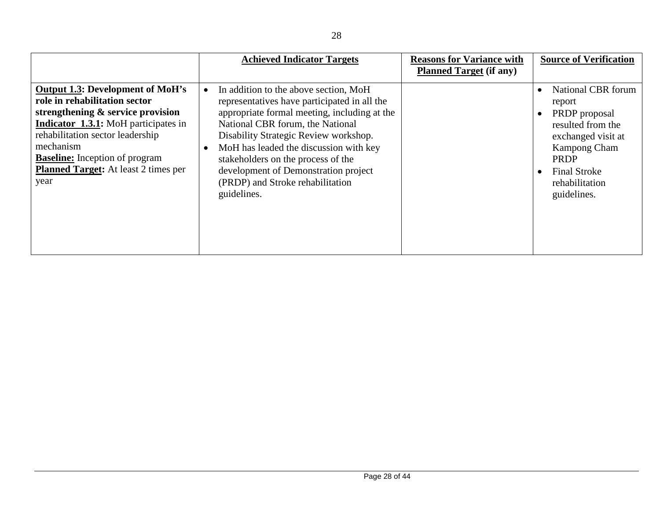|                                                                                                                                                                                                                                                                                                               | <b>Achieved Indicator Targets</b>                                                                                                                                                                                                                                                                                                                                                                                       | <b>Reasons for Variance with</b><br><b>Planned Target (if any)</b> | <b>Source of Verification</b>                                                                                                                                                   |
|---------------------------------------------------------------------------------------------------------------------------------------------------------------------------------------------------------------------------------------------------------------------------------------------------------------|-------------------------------------------------------------------------------------------------------------------------------------------------------------------------------------------------------------------------------------------------------------------------------------------------------------------------------------------------------------------------------------------------------------------------|--------------------------------------------------------------------|---------------------------------------------------------------------------------------------------------------------------------------------------------------------------------|
| <b>Output 1.3: Development of MoH's</b><br>role in rehabilitation sector<br>strengthening & service provision<br><b>Indicator 1.3.1:</b> MoH participates in<br>rehabilitation sector leadership<br>mechanism<br><b>Baseline:</b> Inception of program<br><b>Planned Target:</b> At least 2 times per<br>year | In addition to the above section, MoH<br>$\bullet$<br>representatives have participated in all the<br>appropriate formal meeting, including at the<br>National CBR forum, the National<br>Disability Strategic Review workshop.<br>MoH has leaded the discussion with key<br>$\bullet$<br>stakeholders on the process of the<br>development of Demonstration project<br>(PRDP) and Stroke rehabilitation<br>guidelines. |                                                                    | National CBR forum<br>report<br>PRDP proposal<br>resulted from the<br>exchanged visit at<br><b>Kampong Cham</b><br>PRDP<br><b>Final Stroke</b><br>rehabilitation<br>guidelines. |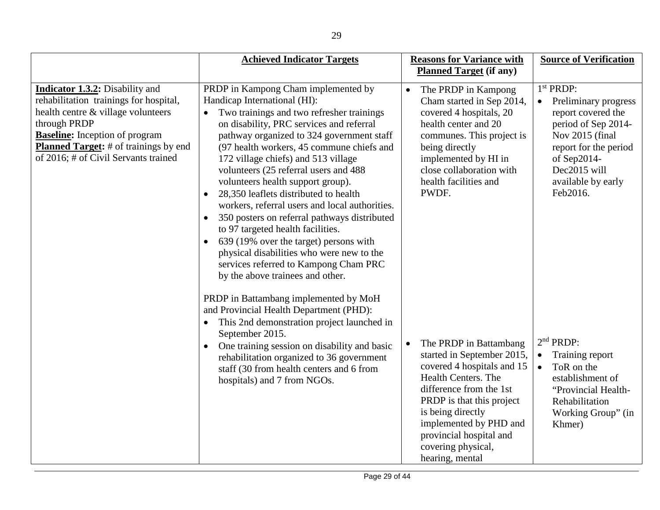|                                                                                                                                                                                                                                                                         | <b>Achieved Indicator Targets</b>                                                                                                                                                                                                                                                                                                                                                                                                                                                                                                                                                                                                                                                                                                                         | <b>Reasons for Variance with</b>                                                                                                                                                                                                                                                                         | <b>Source of Verification</b>                                                                                                                                                                                        |
|-------------------------------------------------------------------------------------------------------------------------------------------------------------------------------------------------------------------------------------------------------------------------|-----------------------------------------------------------------------------------------------------------------------------------------------------------------------------------------------------------------------------------------------------------------------------------------------------------------------------------------------------------------------------------------------------------------------------------------------------------------------------------------------------------------------------------------------------------------------------------------------------------------------------------------------------------------------------------------------------------------------------------------------------------|----------------------------------------------------------------------------------------------------------------------------------------------------------------------------------------------------------------------------------------------------------------------------------------------------------|----------------------------------------------------------------------------------------------------------------------------------------------------------------------------------------------------------------------|
|                                                                                                                                                                                                                                                                         |                                                                                                                                                                                                                                                                                                                                                                                                                                                                                                                                                                                                                                                                                                                                                           | <b>Planned Target</b> (if any)                                                                                                                                                                                                                                                                           |                                                                                                                                                                                                                      |
| <b>Indicator 1.3.2:</b> Disability and<br>rehabilitation trainings for hospital,<br>health centre & village volunteers<br>through PRDP<br><b>Baseline:</b> Inception of program<br><b>Planned Target:</b> # of trainings by end<br>of 2016; # of Civil Servants trained | PRDP in Kampong Cham implemented by<br>Handicap International (HI):<br>Two trainings and two refresher trainings<br>on disability, PRC services and referral<br>pathway organized to 324 government staff<br>(97 health workers, 45 commune chiefs and<br>172 village chiefs) and 513 village<br>volunteers (25 referral users and 488<br>volunteers health support group).<br>28,350 leaflets distributed to health<br>$\bullet$<br>workers, referral users and local authorities.<br>350 posters on referral pathways distributed<br>to 97 targeted health facilities.<br>639 (19% over the target) persons with<br>$\bullet$<br>physical disabilities who were new to the<br>services referred to Kampong Cham PRC<br>by the above trainees and other. | The PRDP in Kampong<br>$\bullet$<br>Cham started in Sep 2014,<br>covered 4 hospitals, 20<br>health center and 20<br>communes. This project is<br>being directly<br>implemented by HI in<br>close collaboration with<br>health facilities and<br>PWDF.                                                    | 1 <sup>st</sup> PRDP:<br>Preliminary progress<br>$\bullet$<br>report covered the<br>period of Sep 2014-<br>Nov 2015 (final<br>report for the period<br>of Sep2014-<br>Dec2015 will<br>available by early<br>Feb2016. |
|                                                                                                                                                                                                                                                                         | PRDP in Battambang implemented by MoH<br>and Provincial Health Department (PHD):<br>This 2nd demonstration project launched in<br>$\bullet$<br>September 2015.<br>One training session on disability and basic<br>$\bullet$<br>rehabilitation organized to 36 government<br>staff (30 from health centers and 6 from<br>hospitals) and 7 from NGOs.                                                                                                                                                                                                                                                                                                                                                                                                       | The PRDP in Battambang<br>$\bullet$<br>started in September 2015,<br>covered 4 hospitals and 15<br><b>Health Centers. The</b><br>difference from the 1st<br>PRDP is that this project<br>is being directly<br>implemented by PHD and<br>provincial hospital and<br>covering physical,<br>hearing, mental | 2 <sup>nd</sup> PRDP:<br>Training report<br>$\bullet$<br>ToR on the<br>$\bullet$<br>establishment of<br>"Provincial Health-<br>Rehabilitation<br>Working Group" (in<br>Khmer)                                        |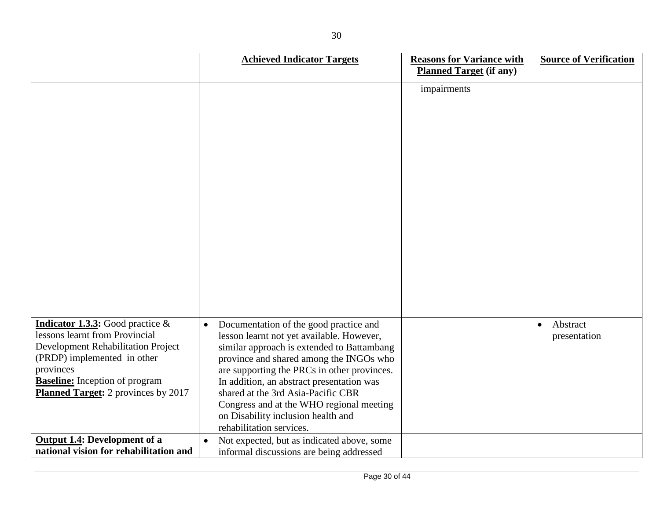|                                                                                                                                                                                                                                                       | <b>Achieved Indicator Targets</b>                                                                                                                                                                                                                                                                                                                                                                                                         | <b>Reasons for Variance with</b><br><b>Planned Target (if any)</b> | <b>Source of Verification</b>         |
|-------------------------------------------------------------------------------------------------------------------------------------------------------------------------------------------------------------------------------------------------------|-------------------------------------------------------------------------------------------------------------------------------------------------------------------------------------------------------------------------------------------------------------------------------------------------------------------------------------------------------------------------------------------------------------------------------------------|--------------------------------------------------------------------|---------------------------------------|
|                                                                                                                                                                                                                                                       |                                                                                                                                                                                                                                                                                                                                                                                                                                           | impairments                                                        |                                       |
| <b>Indicator 1.3.3:</b> Good practice $\&$<br>lessons learnt from Provincial<br>Development Rehabilitation Project<br>(PRDP) implemented in other<br>provinces<br><b>Baseline:</b> Inception of program<br><b>Planned Target:</b> 2 provinces by 2017 | Documentation of the good practice and<br>$\bullet$<br>lesson learnt not yet available. However,<br>similar approach is extended to Battambang<br>province and shared among the INGOs who<br>are supporting the PRCs in other provinces.<br>In addition, an abstract presentation was<br>shared at the 3rd Asia-Pacific CBR<br>Congress and at the WHO regional meeting<br>on Disability inclusion health and<br>rehabilitation services. |                                                                    | Abstract<br>$\bullet$<br>presentation |
| <b>Output 1.4: Development of a</b><br>national vision for rehabilitation and                                                                                                                                                                         | Not expected, but as indicated above, some<br>informal discussions are being addressed                                                                                                                                                                                                                                                                                                                                                    |                                                                    |                                       |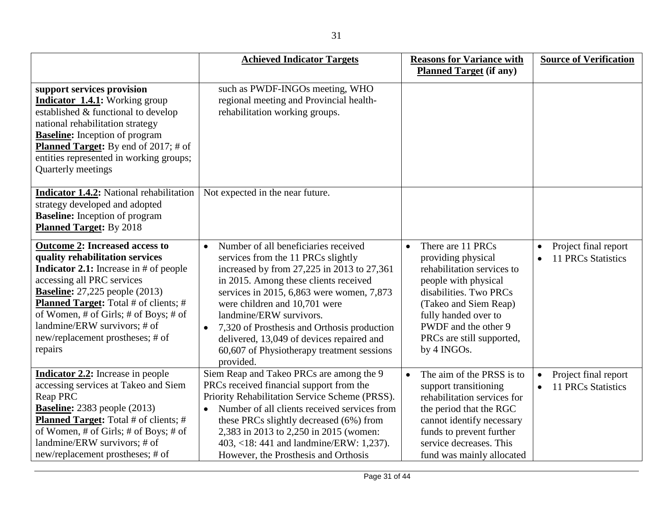|                                                                                                                                                                                                                                                                                                                                                                              | <b>Achieved Indicator Targets</b>                                                                                                                                                                                                                                                                                                                                                                                                                           | <b>Reasons for Variance with</b><br><b>Planned Target (if any)</b>                                                                                                                                                                                        | <b>Source of Verification</b>                     |
|------------------------------------------------------------------------------------------------------------------------------------------------------------------------------------------------------------------------------------------------------------------------------------------------------------------------------------------------------------------------------|-------------------------------------------------------------------------------------------------------------------------------------------------------------------------------------------------------------------------------------------------------------------------------------------------------------------------------------------------------------------------------------------------------------------------------------------------------------|-----------------------------------------------------------------------------------------------------------------------------------------------------------------------------------------------------------------------------------------------------------|---------------------------------------------------|
| support services provision<br><b>Indicator 1.4.1:</b> Working group<br>established & functional to develop<br>national rehabilitation strategy<br><b>Baseline:</b> Inception of program<br><b>Planned Target:</b> By end of 2017; # of<br>entities represented in working groups;<br>Quarterly meetings                                                                      | such as PWDF-INGOs meeting, WHO<br>regional meeting and Provincial health-<br>rehabilitation working groups.                                                                                                                                                                                                                                                                                                                                                |                                                                                                                                                                                                                                                           |                                                   |
| Indicator 1.4.2: National rehabilitation<br>strategy developed and adopted<br><b>Baseline:</b> Inception of program<br><b>Planned Target:</b> By 2018                                                                                                                                                                                                                        | Not expected in the near future.                                                                                                                                                                                                                                                                                                                                                                                                                            |                                                                                                                                                                                                                                                           |                                                   |
| <b>Outcome 2: Increased access to</b><br>quality rehabilitation services<br><b>Indicator 2.1:</b> Increase in $#$ of people<br>accessing all PRC services<br><b>Baseline:</b> 27,225 people $(2013)$<br><b>Planned Target:</b> Total # of clients; #<br>of Women, # of Girls; # of Boys; # of<br>landmine/ERW survivors; # of<br>new/replacement prostheses; # of<br>repairs | Number of all beneficiaries received<br>$\bullet$<br>services from the 11 PRCs slightly<br>increased by from 27,225 in 2013 to 27,361<br>in 2015. Among these clients received<br>services in 2015, 6,863 were women, 7,873<br>were children and 10,701 were<br>landmine/ERW survivors.<br>7,320 of Prosthesis and Orthosis production<br>$\bullet$<br>delivered, 13,049 of devices repaired and<br>60,607 of Physiotherapy treatment sessions<br>provided. | There are 11 PRCs<br>$\bullet$<br>providing physical<br>rehabilitation services to<br>people with physical<br>disabilities. Two PRCs<br>(Takeo and Siem Reap)<br>fully handed over to<br>PWDF and the other 9<br>PRCs are still supported,<br>by 4 INGOs. | Project final report<br><b>11 PRCs Statistics</b> |
| <b>Indicator 2.2:</b> Increase in people<br>accessing services at Takeo and Siem<br><b>Reap PRC</b><br><b>Baseline:</b> 2383 people $(2013)$<br><b>Planned Target:</b> Total # of clients; #<br>of Women, # of Girls; # of Boys; # of                                                                                                                                        | Siem Reap and Takeo PRCs are among the 9<br>PRCs received financial support from the<br>Priority Rehabilitation Service Scheme (PRSS).<br>Number of all clients received services from<br>$\bullet$<br>these PRCs slightly decreased (6%) from<br>2,383 in 2013 to 2,250 in 2015 (women:                                                                                                                                                                    | The aim of the PRSS is to<br>$\bullet$<br>support transitioning<br>rehabilitation services for<br>the period that the RGC<br>cannot identify necessary<br>funds to prevent further                                                                        | Project final report<br><b>11 PRCs Statistics</b> |

403, <18: 441 and landmine/ERW: 1,237). However, the Prosthesis and Orthosis

landmine/ERW survivors; # of new/replacement prostheses; # of

service decreases. This fund was mainly allocated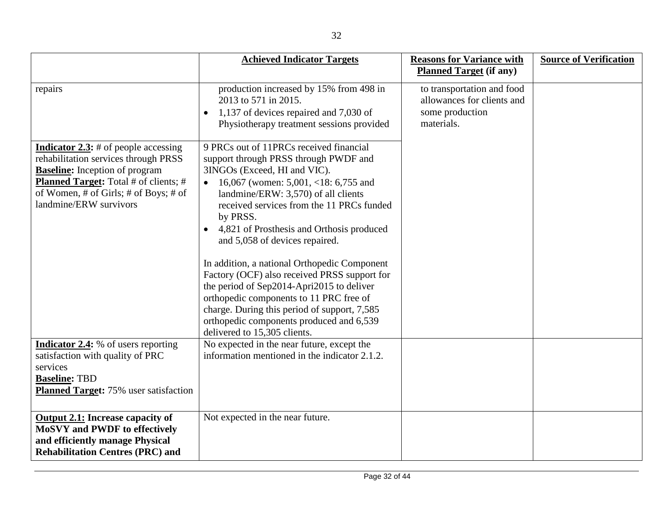|                                                                                                                                                                                                                                                 | <b>Achieved Indicator Targets</b>                                                                                                                                                                                                                                                                                                                                                                                                                                                                                                                                                                                                                              | <b>Reasons for Variance with</b><br><b>Planned Target (if any)</b>                        | <b>Source of Verification</b> |
|-------------------------------------------------------------------------------------------------------------------------------------------------------------------------------------------------------------------------------------------------|----------------------------------------------------------------------------------------------------------------------------------------------------------------------------------------------------------------------------------------------------------------------------------------------------------------------------------------------------------------------------------------------------------------------------------------------------------------------------------------------------------------------------------------------------------------------------------------------------------------------------------------------------------------|-------------------------------------------------------------------------------------------|-------------------------------|
|                                                                                                                                                                                                                                                 |                                                                                                                                                                                                                                                                                                                                                                                                                                                                                                                                                                                                                                                                |                                                                                           |                               |
| repairs                                                                                                                                                                                                                                         | production increased by 15% from 498 in<br>2013 to 571 in 2015.<br>1,137 of devices repaired and 7,030 of<br>$\bullet$<br>Physiotherapy treatment sessions provided                                                                                                                                                                                                                                                                                                                                                                                                                                                                                            | to transportation and food<br>allowances for clients and<br>some production<br>materials. |                               |
| <b>Indicator 2.3:</b> # of people accessing<br>rehabilitation services through PRSS<br><b>Baseline:</b> Inception of program<br><b>Planned Target:</b> Total # of clients; #<br>of Women, # of Girls; # of Boys; # of<br>landmine/ERW survivors | 9 PRCs out of 11PRCs received financial<br>support through PRSS through PWDF and<br>3INGOs (Exceed, HI and VIC).<br>16,067 (women: $5,001, <18$ : 6,755 and<br>landmine/ERW: 3,570) of all clients<br>received services from the 11 PRCs funded<br>by PRSS.<br>4,821 of Prosthesis and Orthosis produced<br>and 5,058 of devices repaired.<br>In addition, a national Orthopedic Component<br>Factory (OCF) also received PRSS support for<br>the period of Sep2014-Apri2015 to deliver<br>orthopedic components to 11 PRC free of<br>charge. During this period of support, 7,585<br>orthopedic components produced and 6,539<br>delivered to 15,305 clients. |                                                                                           |                               |
| <b>Indicator 2.4:</b> % of users reporting<br>satisfaction with quality of PRC<br>services<br><b>Baseline: TBD</b><br><b>Planned Target:</b> 75% user satisfaction                                                                              | No expected in the near future, except the<br>information mentioned in the indicator 2.1.2.                                                                                                                                                                                                                                                                                                                                                                                                                                                                                                                                                                    |                                                                                           |                               |
| <b>Output 2.1: Increase capacity of</b><br><b>MoSVY and PWDF to effectively</b><br>and efficiently manage Physical<br><b>Rehabilitation Centres (PRC) and</b>                                                                                   | Not expected in the near future.                                                                                                                                                                                                                                                                                                                                                                                                                                                                                                                                                                                                                               |                                                                                           |                               |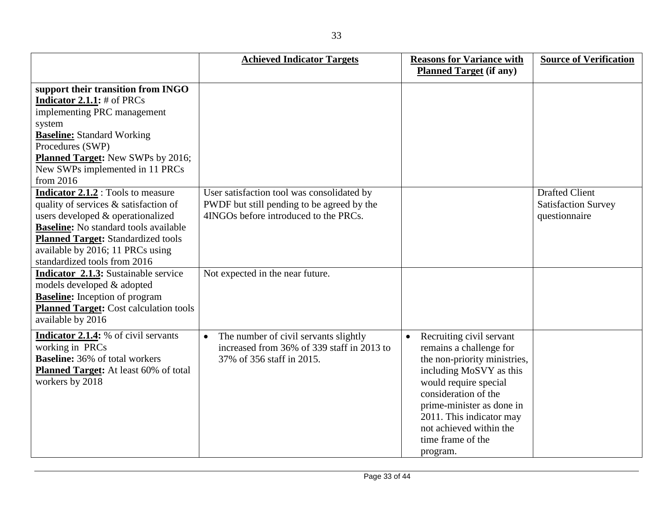|                                                                                                                                                                                                                                                                                                       | <b>Achieved Indicator Targets</b>                                                                                                 | <b>Reasons for Variance with</b>                                                                                                                                                                                                                                                                  | <b>Source of Verification</b>                                        |
|-------------------------------------------------------------------------------------------------------------------------------------------------------------------------------------------------------------------------------------------------------------------------------------------------------|-----------------------------------------------------------------------------------------------------------------------------------|---------------------------------------------------------------------------------------------------------------------------------------------------------------------------------------------------------------------------------------------------------------------------------------------------|----------------------------------------------------------------------|
|                                                                                                                                                                                                                                                                                                       |                                                                                                                                   | <b>Planned Target (if any)</b>                                                                                                                                                                                                                                                                    |                                                                      |
| support their transition from INGO<br><b>Indicator 2.1.1:</b> $#$ of PRCs<br>implementing PRC management<br>system<br><b>Baseline:</b> Standard Working<br>Procedures (SWP)<br><b>Planned Target:</b> New SWPs by 2016;<br>New SWPs implemented in 11 PRCs                                            |                                                                                                                                   |                                                                                                                                                                                                                                                                                                   |                                                                      |
| from 2016<br><b>Indicator 2.1.2</b> : Tools to measure<br>quality of services & satisfaction of<br>users developed & operationalized<br><b>Baseline:</b> No standard tools available<br><b>Planned Target: Standardized tools</b><br>available by 2016; 11 PRCs using<br>standardized tools from 2016 | User satisfaction tool was consolidated by<br>PWDF but still pending to be agreed by the<br>4INGOs before introduced to the PRCs. |                                                                                                                                                                                                                                                                                                   | <b>Drafted Client</b><br><b>Satisfaction Survey</b><br>questionnaire |
| Indicator 2.1.3: Sustainable service<br>models developed & adopted<br><b>Baseline:</b> Inception of program<br><b>Planned Target: Cost calculation tools</b><br>available by 2016                                                                                                                     | Not expected in the near future.                                                                                                  |                                                                                                                                                                                                                                                                                                   |                                                                      |
| Indicator 2.1.4: % of civil servants<br>working in PRCs<br><b>Baseline:</b> 36% of total workers<br>Planned Target: At least 60% of total<br>workers by 2018                                                                                                                                          | The number of civil servants slightly<br>$\bullet$<br>increased from 36% of 339 staff in 2013 to<br>37% of 356 staff in 2015.     | Recruiting civil servant<br>$\bullet$<br>remains a challenge for<br>the non-priority ministries,<br>including MoSVY as this<br>would require special<br>consideration of the<br>prime-minister as done in<br>2011. This indicator may<br>not achieved within the<br>time frame of the<br>program. |                                                                      |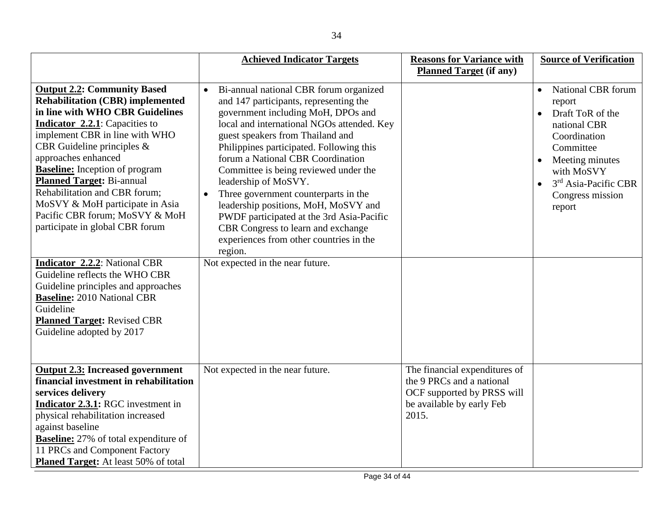|                                                                                                                                                                                                                                                                                                                                                                                                                                                                            | <b>Achieved Indicator Targets</b>                                                                                                                                                                                                                                                                                                                                                                                                                                                                                                                                                   | <b>Reasons for Variance with</b>                                                                                               | <b>Source of Verification</b>                                                                                                                                                                                                     |
|----------------------------------------------------------------------------------------------------------------------------------------------------------------------------------------------------------------------------------------------------------------------------------------------------------------------------------------------------------------------------------------------------------------------------------------------------------------------------|-------------------------------------------------------------------------------------------------------------------------------------------------------------------------------------------------------------------------------------------------------------------------------------------------------------------------------------------------------------------------------------------------------------------------------------------------------------------------------------------------------------------------------------------------------------------------------------|--------------------------------------------------------------------------------------------------------------------------------|-----------------------------------------------------------------------------------------------------------------------------------------------------------------------------------------------------------------------------------|
|                                                                                                                                                                                                                                                                                                                                                                                                                                                                            |                                                                                                                                                                                                                                                                                                                                                                                                                                                                                                                                                                                     | <b>Planned Target (if any)</b>                                                                                                 |                                                                                                                                                                                                                                   |
| <b>Output 2.2: Community Based</b><br><b>Rehabilitation (CBR) implemented</b><br>in line with WHO CBR Guidelines<br><b>Indicator 2.2.1</b> : Capacities to<br>implement CBR in line with WHO<br>CBR Guideline principles $\&$<br>approaches enhanced<br><b>Baseline:</b> Inception of program<br><b>Planned Target: Bi-annual</b><br>Rehabilitation and CBR forum;<br>MoSVY & MoH participate in Asia<br>Pacific CBR forum; MoSVY & MoH<br>participate in global CBR forum | Bi-annual national CBR forum organized<br>and 147 participants, representing the<br>government including MoH, DPOs and<br>local and international NGOs attended. Key<br>guest speakers from Thailand and<br>Philippines participated. Following this<br>forum a National CBR Coordination<br>Committee is being reviewed under the<br>leadership of MoSVY.<br>Three government counterparts in the<br>leadership positions, MoH, MoSVY and<br>PWDF participated at the 3rd Asia-Pacific<br>CBR Congress to learn and exchange<br>experiences from other countries in the<br>region. |                                                                                                                                | <b>National CBR</b> forum<br>report<br>Draft ToR of the<br>national CBR<br>Coordination<br>Committee<br>Meeting minutes<br>$\bullet$<br>with MoSVY<br>3 <sup>rd</sup> Asia-Pacific CBR<br>$\bullet$<br>Congress mission<br>report |
| <b>Indicator 2.2.2:</b> National CBR<br>Guideline reflects the WHO CBR<br>Guideline principles and approaches<br><b>Baseline: 2010 National CBR</b><br>Guideline<br><b>Planned Target: Revised CBR</b><br>Guideline adopted by 2017                                                                                                                                                                                                                                        | Not expected in the near future.                                                                                                                                                                                                                                                                                                                                                                                                                                                                                                                                                    |                                                                                                                                |                                                                                                                                                                                                                                   |
| <b>Output 2.3: Increased government</b><br>financial investment in rehabilitation<br>services delivery<br>Indicator 2.3.1: RGC investment in<br>physical rehabilitation increased<br>against baseline<br><b>Baseline:</b> 27% of total expenditure of<br>11 PRCs and Component Factory<br><b>Planed Target:</b> At least 50% of total                                                                                                                                      | Not expected in the near future.                                                                                                                                                                                                                                                                                                                                                                                                                                                                                                                                                    | The financial expenditures of<br>the 9 PRCs and a national<br>OCF supported by PRSS will<br>be available by early Feb<br>2015. |                                                                                                                                                                                                                                   |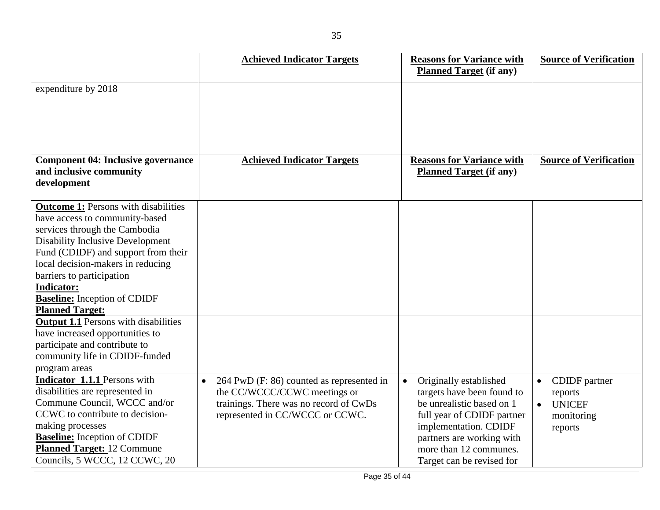|                                             |           | <b>Achieved Indicator Targets</b>         | <b>Reasons for Variance with</b><br><b>Planned Target (if any)</b> | <b>Source of Verification</b> |
|---------------------------------------------|-----------|-------------------------------------------|--------------------------------------------------------------------|-------------------------------|
| expenditure by 2018                         |           |                                           |                                                                    |                               |
|                                             |           |                                           |                                                                    |                               |
|                                             |           |                                           |                                                                    |                               |
|                                             |           |                                           |                                                                    |                               |
|                                             |           |                                           |                                                                    |                               |
| <b>Component 04: Inclusive governance</b>   |           | <b>Achieved Indicator Targets</b>         | <b>Reasons for Variance with</b>                                   | <b>Source of Verification</b> |
| and inclusive community                     |           |                                           | <b>Planned Target (if any)</b>                                     |                               |
| development                                 |           |                                           |                                                                    |                               |
| <b>Outcome 1:</b> Persons with disabilities |           |                                           |                                                                    |                               |
| have access to community-based              |           |                                           |                                                                    |                               |
| services through the Cambodia               |           |                                           |                                                                    |                               |
| <b>Disability Inclusive Development</b>     |           |                                           |                                                                    |                               |
| Fund (CDIDF) and support from their         |           |                                           |                                                                    |                               |
| local decision-makers in reducing           |           |                                           |                                                                    |                               |
| barriers to participation                   |           |                                           |                                                                    |                               |
| <b>Indicator:</b>                           |           |                                           |                                                                    |                               |
| <b>Baseline:</b> Inception of CDIDF         |           |                                           |                                                                    |                               |
| <b>Planned Target:</b>                      |           |                                           |                                                                    |                               |
| <b>Output 1.1 Persons with disabilities</b> |           |                                           |                                                                    |                               |
| have increased opportunities to             |           |                                           |                                                                    |                               |
| participate and contribute to               |           |                                           |                                                                    |                               |
| community life in CDIDF-funded              |           |                                           |                                                                    |                               |
| program areas                               |           |                                           |                                                                    |                               |
| Indicator 1.1.1 Persons with                | $\bullet$ | 264 PwD (F: 86) counted as represented in | Originally established                                             | CDIDF partner<br>$\bullet$    |
| disabilities are represented in             |           | the CC/WCCC/CCWC meetings or              | targets have been found to                                         | reports                       |
| Commune Council, WCCC and/or                |           | trainings. There was no record of CwDs    | be unrealistic based on 1                                          | <b>UNICEF</b><br>$\bullet$    |
| CCWC to contribute to decision-             |           | represented in CC/WCCC or CCWC.           | full year of CDIDF partner                                         | monitoring                    |
| making processes                            |           |                                           | implementation. CDIDF                                              | reports                       |
| <b>Baseline:</b> Inception of CDIDF         |           |                                           | partners are working with                                          |                               |
| <b>Planned Target: 12 Commune</b>           |           |                                           | more than 12 communes.                                             |                               |
| Councils, 5 WCCC, 12 CCWC, 20               |           |                                           | Target can be revised for                                          |                               |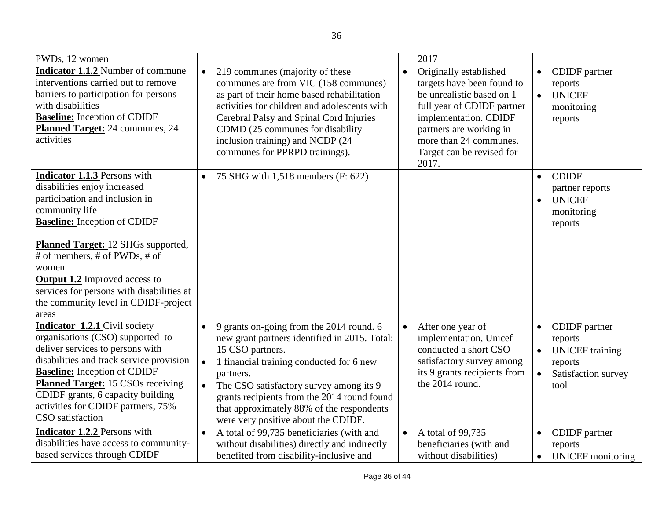| PWDs, 12 women                                                                                                                                                                                                                                                                                                                      | 2017                                                                                                                                                                                                                                                                                                                                                                                                                                                                                                                                                                                        |                                                                                                                                     |
|-------------------------------------------------------------------------------------------------------------------------------------------------------------------------------------------------------------------------------------------------------------------------------------------------------------------------------------|---------------------------------------------------------------------------------------------------------------------------------------------------------------------------------------------------------------------------------------------------------------------------------------------------------------------------------------------------------------------------------------------------------------------------------------------------------------------------------------------------------------------------------------------------------------------------------------------|-------------------------------------------------------------------------------------------------------------------------------------|
| <b>Indicator 1.1.2</b> Number of commune<br>interventions carried out to remove<br>barriers to participation for persons<br>with disabilities<br><b>Baseline:</b> Inception of CDIDF<br>Planned Target: 24 communes, 24<br>activities                                                                                               | 219 communes (majority of these<br>Originally established<br>$\bullet$<br>$\bullet$<br>communes are from VIC (158 communes)<br>targets have been found to<br>as part of their home based rehabilitation<br>be unrealistic based on 1<br>activities for children and adolescents with<br>full year of CDIDF partner<br>Cerebral Palsy and Spinal Cord Injuries<br>implementation. CDIDF<br>CDMD (25 communes for disability<br>partners are working in<br>more than 24 communes.<br>inclusion training) and NCDP (24<br>communes for PPRPD trainings).<br>Target can be revised for<br>2017. | CDIDF partner<br>$\bullet$<br>reports<br><b>UNICEF</b><br>$\bullet$<br>monitoring<br>reports                                        |
| Indicator 1.1.3 Persons with<br>disabilities enjoy increased<br>participation and inclusion in<br>community life<br><b>Baseline:</b> Inception of CDIDF<br>Planned Target: 12 SHGs supported,<br># of members, # of PWDs, # of<br>women                                                                                             | 75 SHG with 1,518 members (F: 622)<br>$\bullet$                                                                                                                                                                                                                                                                                                                                                                                                                                                                                                                                             | <b>CDIDF</b><br>$\bullet$<br>partner reports<br><b>UNICEF</b><br>$\bullet$<br>monitoring<br>reports                                 |
| <b>Output 1.2</b> Improved access to<br>services for persons with disabilities at<br>the community level in CDIDF-project<br>areas                                                                                                                                                                                                  |                                                                                                                                                                                                                                                                                                                                                                                                                                                                                                                                                                                             |                                                                                                                                     |
| Indicator 1.2.1 Civil society<br>organisations (CSO) supported to<br>deliver services to persons with<br>disabilities and track service provision<br><b>Baseline:</b> Inception of CDIDF<br><b>Planned Target:</b> 15 CSOs receiving<br>CDIDF grants, 6 capacity building<br>activities for CDIDF partners, 75%<br>CSO satisfaction | 9 grants on-going from the 2014 round. 6<br>After one year of<br>$\bullet$<br>new grant partners identified in 2015. Total:<br>implementation, Unicef<br>15 CSO partners.<br>conducted a short CSO<br>1 financial training conducted for 6 new<br>satisfactory survey among<br>$\bullet$<br>its 9 grants recipients from<br>partners.<br>the 2014 round.<br>The CSO satisfactory survey among its 9<br>grants recipients from the 2014 round found<br>that approximately 88% of the respondents<br>were very positive about the CDIDF.                                                      | CDIDF partner<br>$\bullet$<br>reports<br><b>UNICEF</b> training<br>$\bullet$<br>reports<br>$\bullet$<br>Satisfaction survey<br>tool |
| Indicator 1.2.2 Persons with<br>disabilities have access to community-<br>based services through CDIDF                                                                                                                                                                                                                              | A total of 99,735 beneficiaries (with and<br>A total of 99,735<br>$\bullet$<br>$\bullet$<br>without disabilities) directly and indirectly<br>beneficiaries (with and<br>benefited from disability-inclusive and<br>without disabilities)                                                                                                                                                                                                                                                                                                                                                    | <b>CDIDF</b> partner<br>$\bullet$<br>reports<br><b>UNICEF</b> monitoring<br>$\bullet$                                               |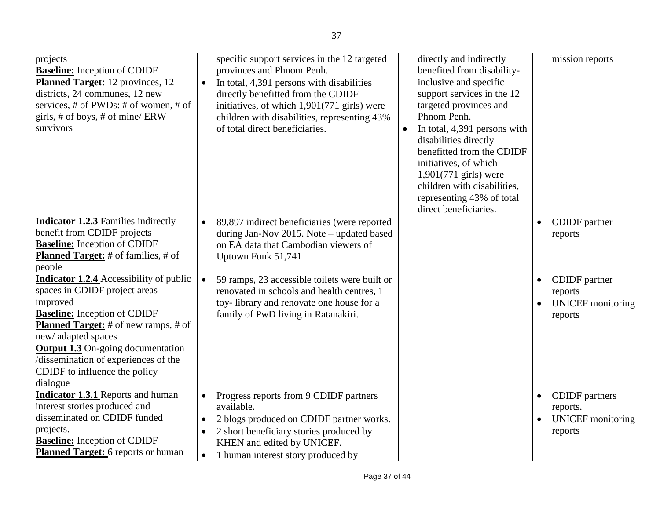| projects<br><b>Baseline:</b> Inception of CDIDF<br><b>Planned Target:</b> 12 provinces, 12<br>districts, 24 communes, 12 new<br>services, # of PWDs: # of women, # of<br>girls, # of boys, # of mine/ ERW<br>survivors | specific support services in the 12 targeted<br>directly and indirectly<br>provinces and Phnom Penh.<br>benefited from disability-<br>inclusive and specific<br>In total, 4,391 persons with disabilities<br>$\bullet$<br>support services in the 12<br>directly benefitted from the CDIDF<br>targeted provinces and<br>initiatives, of which 1,901(771 girls) were<br>Phnom Penh.<br>children with disabilities, representing 43%<br>of total direct beneficiaries.<br>In total, 4,391 persons with<br>disabilities directly<br>benefitted from the CDIDF<br>initiatives, of which<br>$1,901(771)$ girls) were<br>children with disabilities,<br>representing 43% of total<br>direct beneficiaries. | mission reports                                                                       |
|------------------------------------------------------------------------------------------------------------------------------------------------------------------------------------------------------------------------|------------------------------------------------------------------------------------------------------------------------------------------------------------------------------------------------------------------------------------------------------------------------------------------------------------------------------------------------------------------------------------------------------------------------------------------------------------------------------------------------------------------------------------------------------------------------------------------------------------------------------------------------------------------------------------------------------|---------------------------------------------------------------------------------------|
| <b>Indicator 1.2.3</b> Families indirectly<br>benefit from CDIDF projects<br><b>Baseline:</b> Inception of CDIDF<br><b>Planned Target:</b> # of families, # of<br>people                                               | 89,897 indirect beneficiaries (were reported<br>$\bullet$<br>during Jan-Nov 2015. Note - updated based<br>on EA data that Cambodian viewers of<br>Uptown Funk 51,741                                                                                                                                                                                                                                                                                                                                                                                                                                                                                                                                 | CDIDF partner<br>$\bullet$<br>reports                                                 |
| <b>Indicator 1.2.4</b> Accessibility of public<br>spaces in CDIDF project areas<br>improved<br><b>Baseline:</b> Inception of CDIDF<br><b>Planned Target:</b> # of new ramps, # of<br>new/adapted spaces                | 59 ramps, 23 accessible toilets were built or<br>$\bullet$<br>renovated in schools and health centres, 1<br>toy-library and renovate one house for a<br>family of PwD living in Ratanakiri.                                                                                                                                                                                                                                                                                                                                                                                                                                                                                                          | CDIDF partner<br>$\bullet$<br>reports<br><b>UNICEF</b> monitoring<br>reports          |
| <b>Output 1.3</b> On-going documentation<br>/dissemination of experiences of the<br>CDIDF to influence the policy<br>dialogue                                                                                          |                                                                                                                                                                                                                                                                                                                                                                                                                                                                                                                                                                                                                                                                                                      |                                                                                       |
| <b>Indicator 1.3.1 Reports and human</b><br>interest stories produced and<br>disseminated on CDIDF funded<br>projects.<br><b>Baseline:</b> Inception of CDIDF<br><b>Planned Target:</b> 6 reports or human             | Progress reports from 9 CDIDF partners<br>$\bullet$<br>available.<br>2 blogs produced on CDIDF partner works.<br>$\bullet$<br>2 short beneficiary stories produced by<br>KHEN and edited by UNICEF.<br>1 human interest story produced by<br>$\bullet$                                                                                                                                                                                                                                                                                                                                                                                                                                               | <b>CDIDF</b> partners<br>$\bullet$<br>reports.<br><b>UNICEF</b> monitoring<br>reports |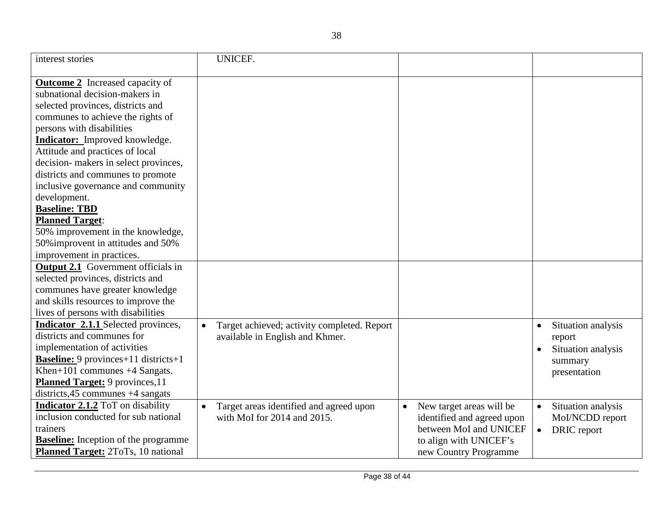| interest stories                            | UNICEF.                                                  |                                       |                                 |
|---------------------------------------------|----------------------------------------------------------|---------------------------------------|---------------------------------|
| <b>Outcome 2</b> Increased capacity of      |                                                          |                                       |                                 |
| subnational decision-makers in              |                                                          |                                       |                                 |
| selected provinces, districts and           |                                                          |                                       |                                 |
| communes to achieve the rights of           |                                                          |                                       |                                 |
| persons with disabilities                   |                                                          |                                       |                                 |
| <b>Indicator:</b> Improved knowledge.       |                                                          |                                       |                                 |
| Attitude and practices of local             |                                                          |                                       |                                 |
| decision- makers in select provinces,       |                                                          |                                       |                                 |
| districts and communes to promote           |                                                          |                                       |                                 |
| inclusive governance and community          |                                                          |                                       |                                 |
| development.                                |                                                          |                                       |                                 |
| <b>Baseline: TBD</b>                        |                                                          |                                       |                                 |
| <b>Planned Target:</b>                      |                                                          |                                       |                                 |
| 50% improvement in the knowledge,           |                                                          |                                       |                                 |
| 50% improvent in attitudes and 50%          |                                                          |                                       |                                 |
| improvement in practices.                   |                                                          |                                       |                                 |
| <b>Output 2.1</b> Government officials in   |                                                          |                                       |                                 |
| selected provinces, districts and           |                                                          |                                       |                                 |
| communes have greater knowledge             |                                                          |                                       |                                 |
| and skills resources to improve the         |                                                          |                                       |                                 |
| lives of persons with disabilities          |                                                          |                                       |                                 |
| <b>Indicator 2.1.1</b> Selected provinces,  | Target achieved; activity completed. Report<br>$\bullet$ |                                       | Situation analysis<br>$\bullet$ |
| districts and communes for                  | available in English and Khmer.                          |                                       | report                          |
| implementation of activities                |                                                          |                                       | Situation analysis              |
| <b>Baseline:</b> 9 provinces+11 districts+1 |                                                          |                                       | summary                         |
| Khen+101 communes +4 Sangats.               |                                                          |                                       | presentation                    |
| <b>Planned Target:</b> 9 provinces, 11      |                                                          |                                       |                                 |
| districts, $45$ communes $+4$ sangats       |                                                          |                                       |                                 |
| <b>Indicator 2.1.2</b> ToT on disability    | Target areas identified and agreed upon<br>$\bullet$     | New target areas will be<br>$\bullet$ | Situation analysis<br>$\bullet$ |
| inclusion conducted for sub national        | with MoI for 2014 and 2015.                              | identified and agreed upon            | Mol/NCDD report                 |
| trainers                                    |                                                          | between MoI and UNICEF                | DRIC report<br>$\bullet$        |
| <b>Baseline:</b> Inception of the programme |                                                          | to align with UNICEF's                |                                 |
| Planned Target: 2ToTs, 10 national          |                                                          | new Country Programme                 |                                 |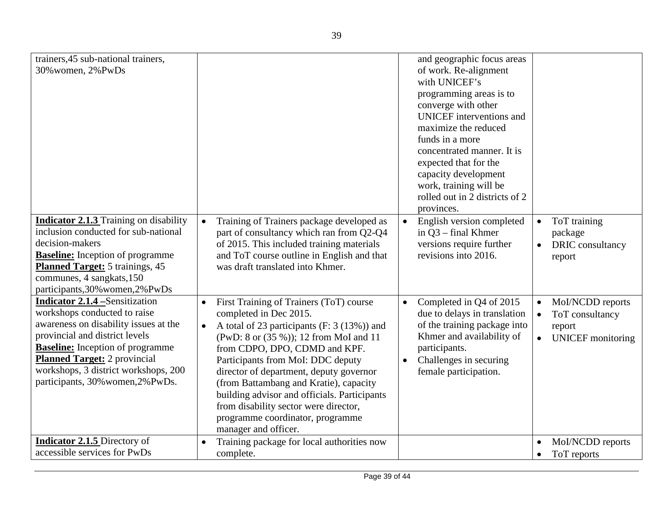| trainers, 45 sub-national trainers,<br>30% women, 2% PwDs                                                                                                                                                                                                                                                        |                                                                                                                                                                                                                                                                                                                                                                                                                                                                                                      | and geographic focus areas<br>of work. Re-alignment<br>with UNICEF's<br>programming areas is to<br>converge with other<br><b>UNICEF</b> interventions and<br>maximize the reduced<br>funds in a more<br>concentrated manner. It is<br>expected that for the<br>capacity development<br>work, training will be |                                                                                                     |
|------------------------------------------------------------------------------------------------------------------------------------------------------------------------------------------------------------------------------------------------------------------------------------------------------------------|------------------------------------------------------------------------------------------------------------------------------------------------------------------------------------------------------------------------------------------------------------------------------------------------------------------------------------------------------------------------------------------------------------------------------------------------------------------------------------------------------|---------------------------------------------------------------------------------------------------------------------------------------------------------------------------------------------------------------------------------------------------------------------------------------------------------------|-----------------------------------------------------------------------------------------------------|
| <b>Indicator 2.1.3</b> Training on disability<br>inclusion conducted for sub-national<br>decision-makers<br><b>Baseline:</b> Inception of programme<br><b>Planned Target:</b> 5 trainings, 45<br>communes, 4 sangkats, 150<br>participants, 30% women, 2% PwDs                                                   | Training of Trainers package developed as<br>part of consultancy which ran from Q2-Q4<br>of 2015. This included training materials<br>and ToT course outline in English and that<br>was draft translated into Khmer.                                                                                                                                                                                                                                                                                 | rolled out in 2 districts of 2<br>provinces.<br>English version completed<br>in $Q3$ – final Khmer<br>versions require further<br>revisions into 2016.                                                                                                                                                        | ToT training<br>$\bullet$<br>package<br>DRIC consultancy<br>report                                  |
| <b>Indicator 2.1.4 - Sensitization</b><br>workshops conducted to raise<br>awareness on disability issues at the<br>provincial and district levels<br><b>Baseline:</b> Inception of programme<br><b>Planned Target:</b> 2 provincial<br>workshops, 3 district workshops, 200<br>participants, 30% women, 2% PwDs. | First Training of Trainers (ToT) course<br>$\bullet$<br>completed in Dec 2015.<br>A total of 23 participants (F: 3 (13%)) and<br>$\bullet$<br>(PwD: 8 or (35 %)); 12 from MoI and 11<br>from CDPO, DPO, CDMD and KPF.<br>Participants from MoI: DDC deputy<br>director of department, deputy governor<br>(from Battambang and Kratie), capacity<br>building advisor and officials. Participants<br>from disability sector were director,<br>programme coordinator, programme<br>manager and officer. | Completed in Q4 of 2015<br>$\bullet$<br>due to delays in translation<br>of the training package into<br>Khmer and availability of<br>participants.<br>Challenges in securing<br>female participation.                                                                                                         | MoI/NCDD reports<br>$\bullet$<br>ToT consultancy<br>$\bullet$<br>report<br><b>UNICEF</b> monitoring |
| <b>Indicator 2.1.5</b> Directory of<br>accessible services for PwDs                                                                                                                                                                                                                                              | Training package for local authorities now<br>complete.                                                                                                                                                                                                                                                                                                                                                                                                                                              |                                                                                                                                                                                                                                                                                                               | Mol/NCDD reports<br>ToT reports                                                                     |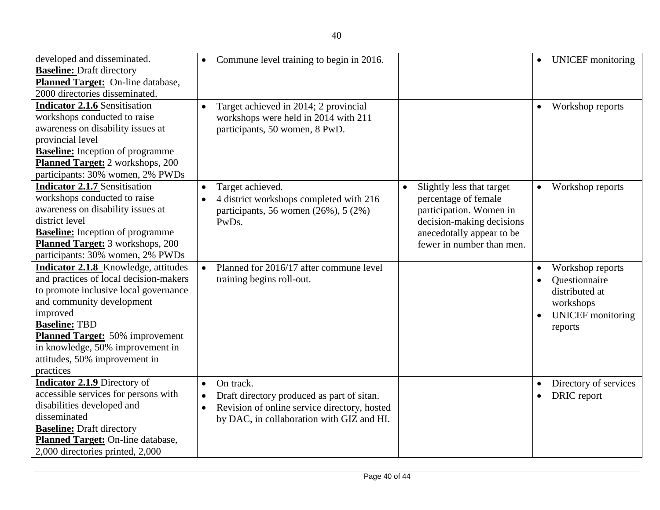| developed and disseminated.             | $\bullet$ | Commune level training to begin in 2016.     |                           | $\bullet$ | <b>UNICEF</b> monitoring |
|-----------------------------------------|-----------|----------------------------------------------|---------------------------|-----------|--------------------------|
| <b>Baseline: Draft directory</b>        |           |                                              |                           |           |                          |
| Planned Target: On-line database,       |           |                                              |                           |           |                          |
| 2000 directories disseminated.          |           |                                              |                           |           |                          |
| <b>Indicator 2.1.6 Sensitisation</b>    |           | Target achieved in 2014; 2 provincial        |                           | $\bullet$ | Workshop reports         |
| workshops conducted to raise            |           | workshops were held in 2014 with 211         |                           |           |                          |
| awareness on disability issues at       |           | participants, 50 women, 8 PwD.               |                           |           |                          |
| provincial level                        |           |                                              |                           |           |                          |
| <b>Baseline:</b> Inception of programme |           |                                              |                           |           |                          |
| Planned Target: 2 workshops, 200        |           |                                              |                           |           |                          |
| participants: 30% women, 2% PWDs        |           |                                              |                           |           |                          |
| <b>Indicator 2.1.7 Sensitisation</b>    | $\bullet$ | Target achieved.                             | Slightly less that target |           | Workshop reports         |
| workshops conducted to raise            |           | 4 district workshops completed with 216      | percentage of female      |           |                          |
| awareness on disability issues at       |           | participants, 56 women $(26\%)$ , 5 $(2\%)$  | participation. Women in   |           |                          |
| district level                          |           | PwDs.                                        | decision-making decisions |           |                          |
| <b>Baseline:</b> Inception of programme |           |                                              | anecedotally appear to be |           |                          |
| Planned Target: 3 workshops, 200        |           |                                              | fewer in number than men. |           |                          |
| participants: 30% women, 2% PWDs        |           |                                              |                           |           |                          |
| Indicator 2.1.8 Knowledge, attitudes    | $\bullet$ | Planned for 2016/17 after commune level      |                           | $\bullet$ | Workshop reports         |
| and practices of local decision-makers  |           | training begins roll-out.                    |                           |           | Questionnaire            |
| to promote inclusive local governance   |           |                                              |                           |           | distributed at           |
| and community development               |           |                                              |                           |           | workshops                |
| improved                                |           |                                              |                           |           | <b>UNICEF</b> monitoring |
| <b>Baseline: TBD</b>                    |           |                                              |                           |           | reports                  |
| <b>Planned Target:</b> 50% improvement  |           |                                              |                           |           |                          |
| in knowledge, 50% improvement in        |           |                                              |                           |           |                          |
| attitudes, 50% improvement in           |           |                                              |                           |           |                          |
| practices                               |           |                                              |                           |           |                          |
| <b>Indicator 2.1.9</b> Directory of     |           | On track.                                    |                           |           | Directory of services    |
| accessible services for persons with    | $\bullet$ | Draft directory produced as part of sitan.   |                           |           | DRIC report              |
| disabilities developed and              |           | Revision of online service directory, hosted |                           |           |                          |
| disseminated                            |           | by DAC, in collaboration with GIZ and HI.    |                           |           |                          |
| <b>Baseline:</b> Draft directory        |           |                                              |                           |           |                          |
| Planned Target: On-line database,       |           |                                              |                           |           |                          |
| 2,000 directories printed, 2,000        |           |                                              |                           |           |                          |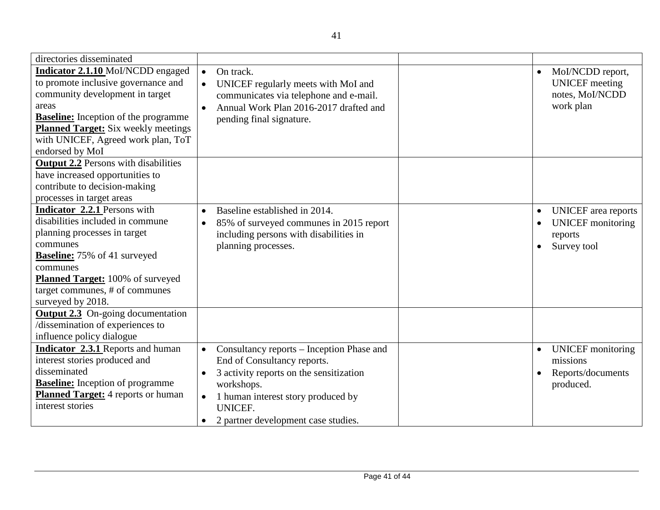| directories disseminated                                                                                                                                                                                                                                                   |                                                                                                                                                                                            |                                                                                        |
|----------------------------------------------------------------------------------------------------------------------------------------------------------------------------------------------------------------------------------------------------------------------------|--------------------------------------------------------------------------------------------------------------------------------------------------------------------------------------------|----------------------------------------------------------------------------------------|
| Indicator 2.1.10 MoI/NCDD engaged<br>to promote inclusive governance and<br>community development in target<br>areas<br><b>Baseline:</b> Inception of the programme<br><b>Planned Target:</b> Six weekly meetings<br>with UNICEF, Agreed work plan, ToT<br>endorsed by MoI | On track.<br>$\bullet$<br>UNICEF regularly meets with MoI and<br>$\bullet$<br>communicates via telephone and e-mail.<br>Annual Work Plan 2016-2017 drafted and<br>pending final signature. | Mol/NCDD report,<br>$\bullet$<br><b>UNICEF</b> meeting<br>notes, MoI/NCDD<br>work plan |
| <b>Output 2.2</b> Persons with disabilities                                                                                                                                                                                                                                |                                                                                                                                                                                            |                                                                                        |
| have increased opportunities to<br>contribute to decision-making                                                                                                                                                                                                           |                                                                                                                                                                                            |                                                                                        |
| processes in target areas                                                                                                                                                                                                                                                  |                                                                                                                                                                                            |                                                                                        |
| Indicator 2.2.1 Persons with<br>disabilities included in commune<br>planning processes in target<br>communes<br><b>Baseline:</b> 75% of 41 surveyed<br>communes<br><b>Planned Target:</b> 100% of surveyed<br>target communes, # of communes<br>surveyed by 2018.          | Baseline established in 2014.<br>85% of surveyed communes in 2015 report<br>$\bullet$<br>including persons with disabilities in<br>planning processes.                                     | <b>UNICEF</b> area reports<br><b>UNICEF</b> monitoring<br>reports<br>Survey tool       |
| <b>Output 2.3</b> On-going documentation<br>/dissemination of experiences to<br>influence policy dialogue                                                                                                                                                                  |                                                                                                                                                                                            |                                                                                        |
| Indicator 2.3.1 Reports and human<br>interest stories produced and                                                                                                                                                                                                         | Consultancy reports – Inception Phase and<br>$\bullet$<br>End of Consultancy reports.                                                                                                      | <b>UNICEF</b> monitoring<br>$\bullet$<br>missions                                      |
| disseminated<br><b>Baseline:</b> Inception of programme<br><b>Planned Target:</b> 4 reports or human                                                                                                                                                                       | 3 activity reports on the sensitization<br>$\bullet$<br>workshops.<br>1 human interest story produced by<br>$\bullet$                                                                      | Reports/documents<br>produced.                                                         |
| interest stories                                                                                                                                                                                                                                                           | <b>UNICEF.</b><br>2 partner development case studies.                                                                                                                                      |                                                                                        |
|                                                                                                                                                                                                                                                                            |                                                                                                                                                                                            |                                                                                        |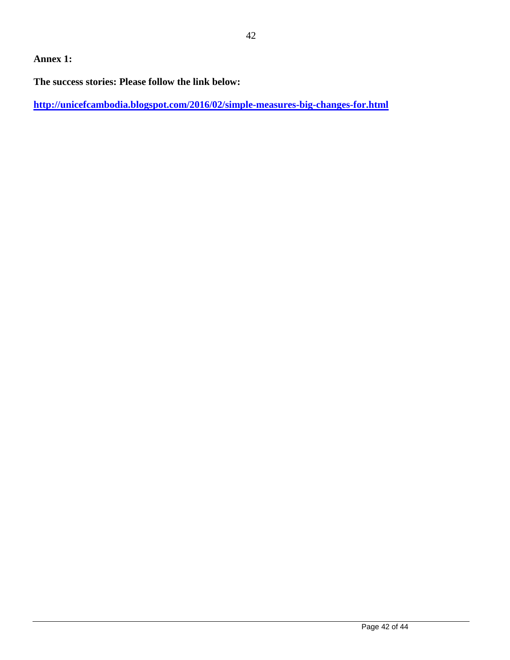# **Annex 1:**

**The success stories: Please follow the link below:**

**<http://unicefcambodia.blogspot.com/2016/02/simple-measures-big-changes-for.html>**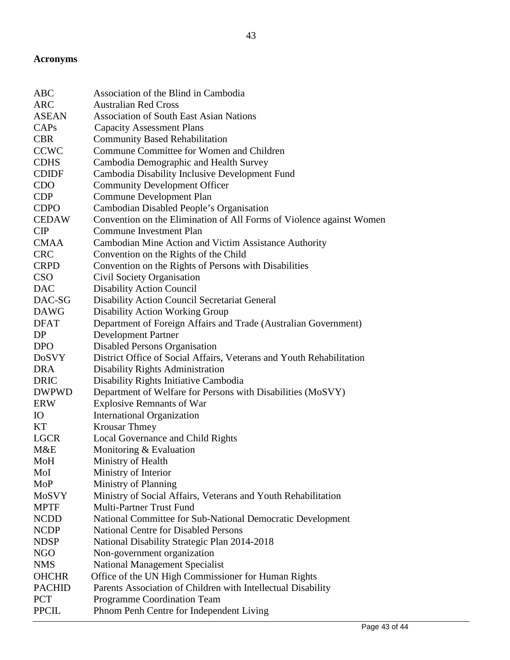# **Acronyms**

| Convention on the Elimination of All Forms of Violence against Women |
|----------------------------------------------------------------------|
|                                                                      |
| Cambodian Mine Action and Victim Assistance Authority                |
|                                                                      |
|                                                                      |
|                                                                      |
|                                                                      |
|                                                                      |
|                                                                      |
| Department of Foreign Affairs and Trade (Australian Government)      |
|                                                                      |
|                                                                      |
| District Office of Social Affairs, Veterans and Youth Rehabilitation |
|                                                                      |
|                                                                      |
| Department of Welfare for Persons with Disabilities (MoSVY)          |
|                                                                      |
|                                                                      |
|                                                                      |
|                                                                      |
|                                                                      |
|                                                                      |
|                                                                      |
|                                                                      |
| Ministry of Social Affairs, Veterans and Youth Rehabilitation        |
|                                                                      |
| National Committee for Sub-National Democratic Development           |
|                                                                      |
|                                                                      |
|                                                                      |
|                                                                      |
| Office of the UN High Commissioner for Human Rights                  |
| Parents Association of Children with Intellectual Disability         |
|                                                                      |
|                                                                      |
|                                                                      |